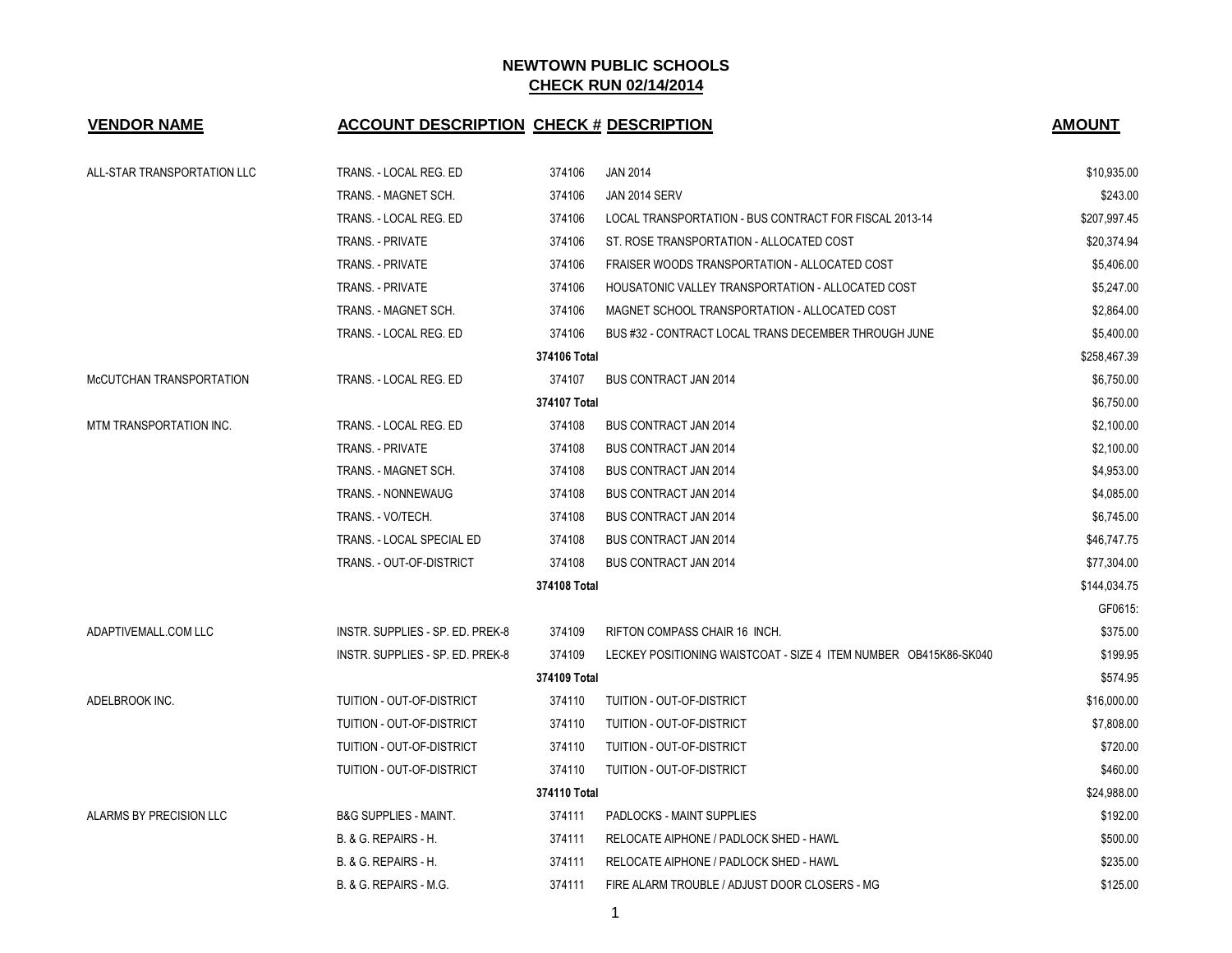| <b>VENDOR NAME</b>          | <b>ACCOUNT DESCRIPTION CHECK # DESCRIPTION</b> |              |                                                                  | <b>AMOUNT</b> |
|-----------------------------|------------------------------------------------|--------------|------------------------------------------------------------------|---------------|
| ALL-STAR TRANSPORTATION LLC | TRANS. - LOCAL REG. ED                         | 374106       | <b>JAN 2014</b>                                                  | \$10,935.00   |
|                             | TRANS. - MAGNET SCH.                           | 374106       | JAN 2014 SERV                                                    | \$243.00      |
|                             | TRANS. - LOCAL REG. ED                         | 374106       | LOCAL TRANSPORTATION - BUS CONTRACT FOR FISCAL 2013-14           | \$207,997.45  |
|                             | TRANS. - PRIVATE                               | 374106       | ST. ROSE TRANSPORTATION - ALLOCATED COST                         | \$20,374.94   |
|                             | <b>TRANS. - PRIVATE</b>                        | 374106       | FRAISER WOODS TRANSPORTATION - ALLOCATED COST                    | \$5,406.00    |
|                             | <b>TRANS. - PRIVATE</b>                        | 374106       | HOUSATONIC VALLEY TRANSPORTATION - ALLOCATED COST                | \$5,247.00    |
|                             | TRANS. - MAGNET SCH.                           | 374106       | MAGNET SCHOOL TRANSPORTATION - ALLOCATED COST                    | \$2,864.00    |
|                             | TRANS. - LOCAL REG. ED                         | 374106       | BUS #32 - CONTRACT LOCAL TRANS DECEMBER THROUGH JUNE             | \$5,400.00    |
|                             |                                                | 374106 Total |                                                                  | \$258,467.39  |
| McCUTCHAN TRANSPORTATION    | TRANS. - LOCAL REG. ED                         | 374107       | <b>BUS CONTRACT JAN 2014</b>                                     | \$6,750.00    |
|                             |                                                | 374107 Total |                                                                  | \$6,750.00    |
| MTM TRANSPORTATION INC.     | TRANS. - LOCAL REG. ED                         | 374108       | <b>BUS CONTRACT JAN 2014</b>                                     | \$2,100.00    |
|                             | TRANS. - PRIVATE                               | 374108       | <b>BUS CONTRACT JAN 2014</b>                                     | \$2,100.00    |
|                             | TRANS. - MAGNET SCH.                           | 374108       | <b>BUS CONTRACT JAN 2014</b>                                     | \$4,953.00    |
|                             | TRANS. - NONNEWAUG                             | 374108       | <b>BUS CONTRACT JAN 2014</b>                                     | \$4,085.00    |
|                             | TRANS. - VO/TECH.                              | 374108       | <b>BUS CONTRACT JAN 2014</b>                                     | \$6,745.00    |
|                             | TRANS. - LOCAL SPECIAL ED                      | 374108       | <b>BUS CONTRACT JAN 2014</b>                                     | \$46,747.75   |
|                             | TRANS. - OUT-OF-DISTRICT                       | 374108       | <b>BUS CONTRACT JAN 2014</b>                                     | \$77,304.00   |
|                             |                                                | 374108 Total |                                                                  | \$144,034.75  |
|                             |                                                |              |                                                                  | GF0615:       |
| ADAPTIVEMALL.COM LLC        | INSTR. SUPPLIES - SP. ED. PREK-8               | 374109       | RIFTON COMPASS CHAIR 16 INCH.                                    | \$375.00      |
|                             | INSTR. SUPPLIES - SP. ED. PREK-8               | 374109       | LECKEY POSITIONING WAISTCOAT - SIZE 4 ITEM NUMBER OB415K86-SK040 | \$199.95      |
|                             |                                                | 374109 Total |                                                                  | \$574.95      |
| ADELBROOK INC.              | TUITION - OUT-OF-DISTRICT                      | 374110       | TUITION - OUT-OF-DISTRICT                                        | \$16,000.00   |
|                             | TUITION - OUT-OF-DISTRICT                      | 374110       | TUITION - OUT-OF-DISTRICT                                        | \$7,808.00    |
|                             | TUITION - OUT-OF-DISTRICT                      | 374110       | TUITION - OUT-OF-DISTRICT                                        | \$720.00      |
|                             | TUITION - OUT-OF-DISTRICT                      | 374110       | TUITION - OUT-OF-DISTRICT                                        | \$460.00      |
|                             |                                                | 374110 Total |                                                                  | \$24,988.00   |
| ALARMS BY PRECISION LLC     | <b>B&amp;G SUPPLIES - MAINT.</b>               | 374111       | <b>PADLOCKS - MAINT SUPPLIES</b>                                 | \$192.00      |
|                             | <b>B. &amp; G. REPAIRS - H.</b>                | 374111       | RELOCATE AIPHONE / PADLOCK SHED - HAWL                           | \$500.00      |
|                             | <b>B. &amp; G. REPAIRS - H.</b>                | 374111       | RELOCATE AIPHONE / PADLOCK SHED - HAWL                           | \$235.00      |
|                             | B. & G. REPAIRS - M.G.                         | 374111       | FIRE ALARM TROUBLE / ADJUST DOOR CLOSERS - MG                    | \$125.00      |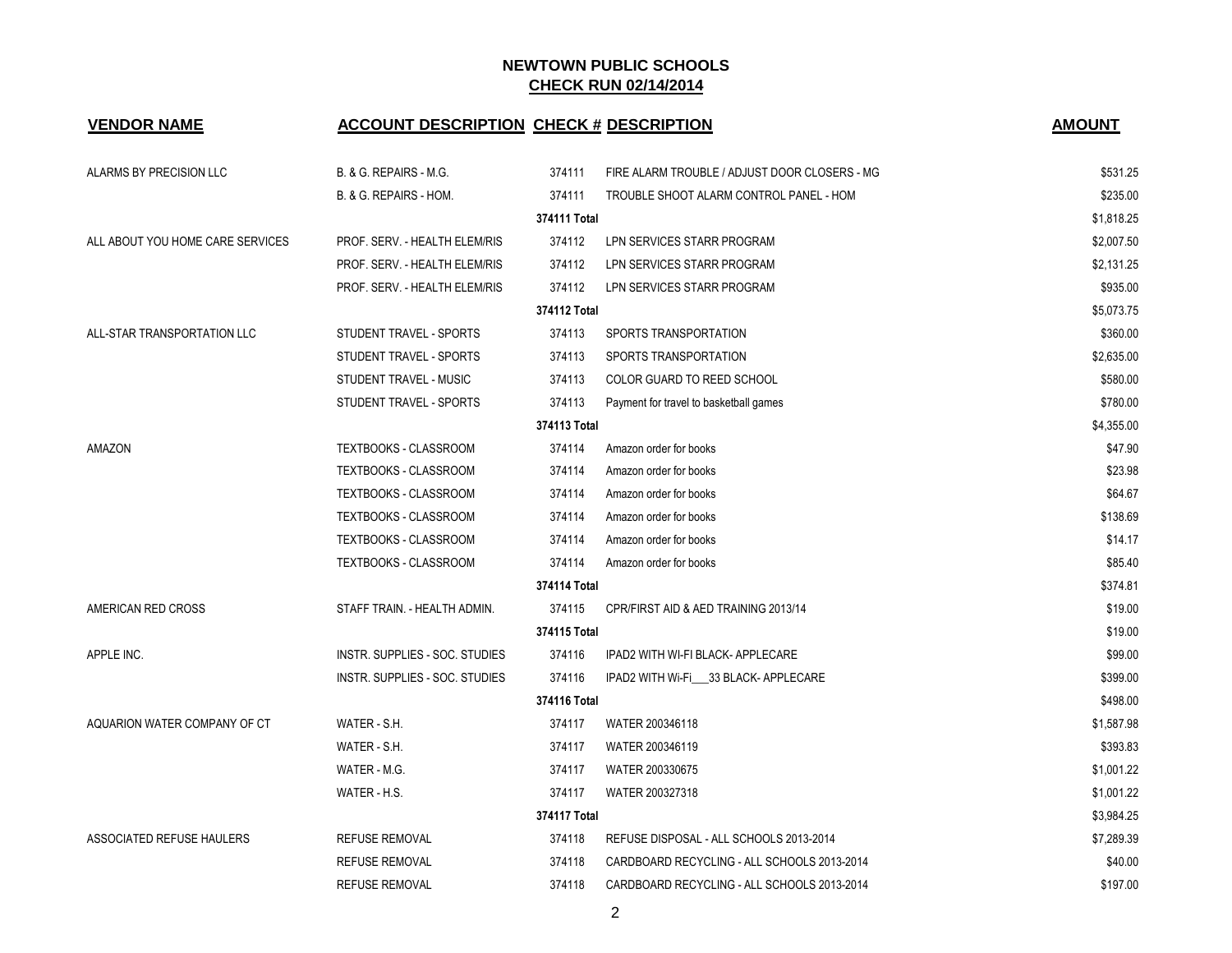| <b>VENDOR NAME</b>               | <b>ACCOUNT DESCRIPTION CHECK # DESCRIPTION</b> |              |                                               | <b>AMOUNT</b> |
|----------------------------------|------------------------------------------------|--------------|-----------------------------------------------|---------------|
| ALARMS BY PRECISION LLC          | B. & G. REPAIRS - M.G.                         | 374111       | FIRE ALARM TROUBLE / ADJUST DOOR CLOSERS - MG | \$531.25      |
|                                  | B. & G. REPAIRS - HOM.                         | 374111       | TROUBLE SHOOT ALARM CONTROL PANEL - HOM       | \$235.00      |
|                                  |                                                | 374111 Total |                                               | \$1,818.25    |
| ALL ABOUT YOU HOME CARE SERVICES | PROF. SERV. - HEALTH ELEM/RIS                  | 374112       | LPN SERVICES STARR PROGRAM                    | \$2,007.50    |
|                                  | PROF. SERV. - HEALTH ELEM/RIS                  | 374112       | LPN SERVICES STARR PROGRAM                    | \$2,131.25    |
|                                  | PROF. SERV. - HEALTH ELEM/RIS                  | 374112       | LPN SERVICES STARR PROGRAM                    | \$935.00      |
|                                  |                                                | 374112 Total |                                               | \$5,073.75    |
| ALL-STAR TRANSPORTATION LLC      | STUDENT TRAVEL - SPORTS                        | 374113       | SPORTS TRANSPORTATION                         | \$360.00      |
|                                  | STUDENT TRAVEL - SPORTS                        | 374113       | SPORTS TRANSPORTATION                         | \$2,635.00    |
|                                  | STUDENT TRAVEL - MUSIC                         | 374113       | <b>COLOR GUARD TO REED SCHOOL</b>             | \$580.00      |
|                                  | STUDENT TRAVEL - SPORTS                        | 374113       | Payment for travel to basketball games        | \$780.00      |
|                                  |                                                | 374113 Total |                                               | \$4,355.00    |
| AMAZON                           | <b>TEXTBOOKS - CLASSROOM</b>                   | 374114       | Amazon order for books                        | \$47.90       |
|                                  | TEXTBOOKS - CLASSROOM                          | 374114       | Amazon order for books                        | \$23.98       |
|                                  | TEXTBOOKS - CLASSROOM                          | 374114       | Amazon order for books                        | \$64.67       |
|                                  | TEXTBOOKS - CLASSROOM                          | 374114       | Amazon order for books                        | \$138.69      |
|                                  | TEXTBOOKS - CLASSROOM                          | 374114       | Amazon order for books                        | \$14.17       |
|                                  | TEXTBOOKS - CLASSROOM                          | 374114       | Amazon order for books                        | \$85.40       |
|                                  |                                                | 374114 Total |                                               | \$374.81      |
| AMERICAN RED CROSS               | STAFF TRAIN. - HEALTH ADMIN.                   | 374115       | CPR/FIRST AID & AED TRAINING 2013/14          | \$19.00       |
|                                  |                                                | 374115 Total |                                               | \$19.00       |
| APPLE INC.                       | INSTR. SUPPLIES - SOC. STUDIES                 | 374116       | IPAD2 WITH WI-FI BLACK- APPLECARE             | \$99.00       |
|                                  | INSTR. SUPPLIES - SOC. STUDIES                 | 374116       | IPAD2 WITH Wi-Fi 33 BLACK- APPLECARE          | \$399.00      |
|                                  |                                                | 374116 Total |                                               | \$498.00      |
| AQUARION WATER COMPANY OF CT     | WATER - S.H.                                   | 374117       | WATER 200346118                               | \$1,587.98    |
|                                  | WATER - S.H.                                   | 374117       | WATER 200346119                               | \$393.83      |
|                                  | WATER - M.G.                                   | 374117       | WATER 200330675                               | \$1,001.22    |
|                                  | WATER - H.S.                                   | 374117       | WATER 200327318                               | \$1,001.22    |
|                                  |                                                | 374117 Total |                                               | \$3,984.25    |
| ASSOCIATED REFUSE HAULERS        | <b>REFUSE REMOVAL</b>                          | 374118       | REFUSE DISPOSAL - ALL SCHOOLS 2013-2014       | \$7,289.39    |
|                                  | <b>REFUSE REMOVAL</b>                          | 374118       | CARDBOARD RECYCLING - ALL SCHOOLS 2013-2014   | \$40.00       |
|                                  | <b>REFUSE REMOVAL</b>                          | 374118       | CARDBOARD RECYCLING - ALL SCHOOLS 2013-2014   | \$197.00      |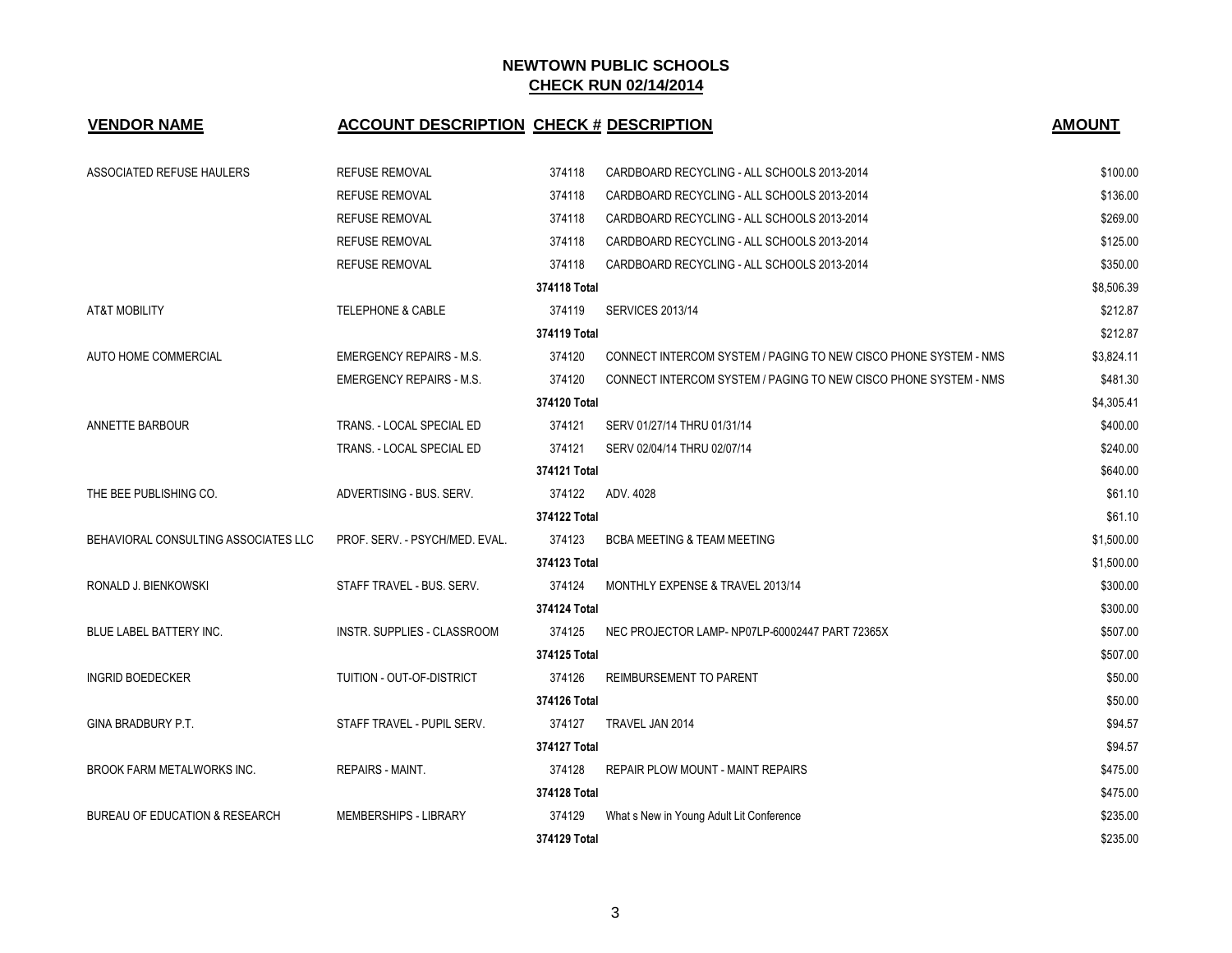| <b>VENDOR NAME</b>                   | <b>ACCOUNT DESCRIPTION CHECK # DESCRIPTION</b> |              |                                                                  | <b>AMOUNT</b> |
|--------------------------------------|------------------------------------------------|--------------|------------------------------------------------------------------|---------------|
| ASSOCIATED REFUSE HAULERS            | REFUSE REMOVAL                                 | 374118       | CARDBOARD RECYCLING - ALL SCHOOLS 2013-2014                      | \$100.00      |
|                                      | <b>REFUSE REMOVAL</b>                          | 374118       | CARDBOARD RECYCLING - ALL SCHOOLS 2013-2014                      | \$136.00      |
|                                      | <b>REFUSE REMOVAL</b>                          | 374118       | CARDBOARD RECYCLING - ALL SCHOOLS 2013-2014                      | \$269.00      |
|                                      | <b>REFUSE REMOVAL</b>                          | 374118       | CARDBOARD RECYCLING - ALL SCHOOLS 2013-2014                      | \$125.00      |
|                                      | <b>REFUSE REMOVAL</b>                          | 374118       | CARDBOARD RECYCLING - ALL SCHOOLS 2013-2014                      | \$350.00      |
|                                      |                                                | 374118 Total |                                                                  | \$8,506.39    |
| <b>AT&amp;T MOBILITY</b>             | <b>TELEPHONE &amp; CABLE</b>                   | 374119       | <b>SERVICES 2013/14</b>                                          | \$212.87      |
|                                      |                                                | 374119 Total |                                                                  | \$212.87      |
| AUTO HOME COMMERCIAL                 | <b>EMERGENCY REPAIRS - M.S.</b>                | 374120       | CONNECT INTERCOM SYSTEM / PAGING TO NEW CISCO PHONE SYSTEM - NMS | \$3,824.11    |
|                                      | <b>EMERGENCY REPAIRS - M.S.</b>                | 374120       | CONNECT INTERCOM SYSTEM / PAGING TO NEW CISCO PHONE SYSTEM - NMS | \$481.30      |
|                                      |                                                | 374120 Total |                                                                  | \$4,305.41    |
| ANNETTE BARBOUR                      | TRANS. - LOCAL SPECIAL ED                      | 374121       | SERV 01/27/14 THRU 01/31/14                                      | \$400.00      |
|                                      | TRANS. - LOCAL SPECIAL ED                      | 374121       | SERV 02/04/14 THRU 02/07/14                                      | \$240.00      |
|                                      |                                                | 374121 Total |                                                                  | \$640.00      |
| THE BEE PUBLISHING CO.               | ADVERTISING - BUS. SERV.                       | 374122       | ADV. 4028                                                        | \$61.10       |
|                                      |                                                | 374122 Total |                                                                  | \$61.10       |
| BEHAVIORAL CONSULTING ASSOCIATES LLC | PROF. SERV. - PSYCH/MED. EVAL.                 | 374123       | <b>BCBA MEETING &amp; TEAM MEETING</b>                           | \$1,500.00    |
|                                      |                                                | 374123 Total |                                                                  | \$1,500.00    |
| RONALD J. BIENKOWSKI                 | STAFF TRAVEL - BUS. SERV.                      | 374124       | MONTHLY EXPENSE & TRAVEL 2013/14                                 | \$300.00      |
|                                      |                                                | 374124 Total |                                                                  | \$300.00      |
| BLUE LABEL BATTERY INC.              | INSTR. SUPPLIES - CLASSROOM                    | 374125       | NEC PROJECTOR LAMP- NP07LP-60002447 PART 72365X                  | \$507.00      |
|                                      |                                                | 374125 Total |                                                                  | \$507.00      |
| <b>INGRID BOEDECKER</b>              | TUITION - OUT-OF-DISTRICT                      | 374126       | <b>REIMBURSEMENT TO PARENT</b>                                   | \$50.00       |
|                                      |                                                | 374126 Total |                                                                  | \$50.00       |
| GINA BRADBURY P.T.                   | STAFF TRAVEL - PUPIL SERV.                     | 374127       | TRAVEL JAN 2014                                                  | \$94.57       |
|                                      |                                                | 374127 Total |                                                                  | \$94.57       |
| BROOK FARM METALWORKS INC.           | <b>REPAIRS - MAINT.</b>                        | 374128       | REPAIR PLOW MOUNT - MAINT REPAIRS                                | \$475.00      |
|                                      |                                                | 374128 Total |                                                                  | \$475.00      |
| BUREAU OF EDUCATION & RESEARCH       | MEMBERSHIPS - LIBRARY                          | 374129       | What s New in Young Adult Lit Conference                         | \$235.00      |
|                                      |                                                | 374129 Total |                                                                  | \$235.00      |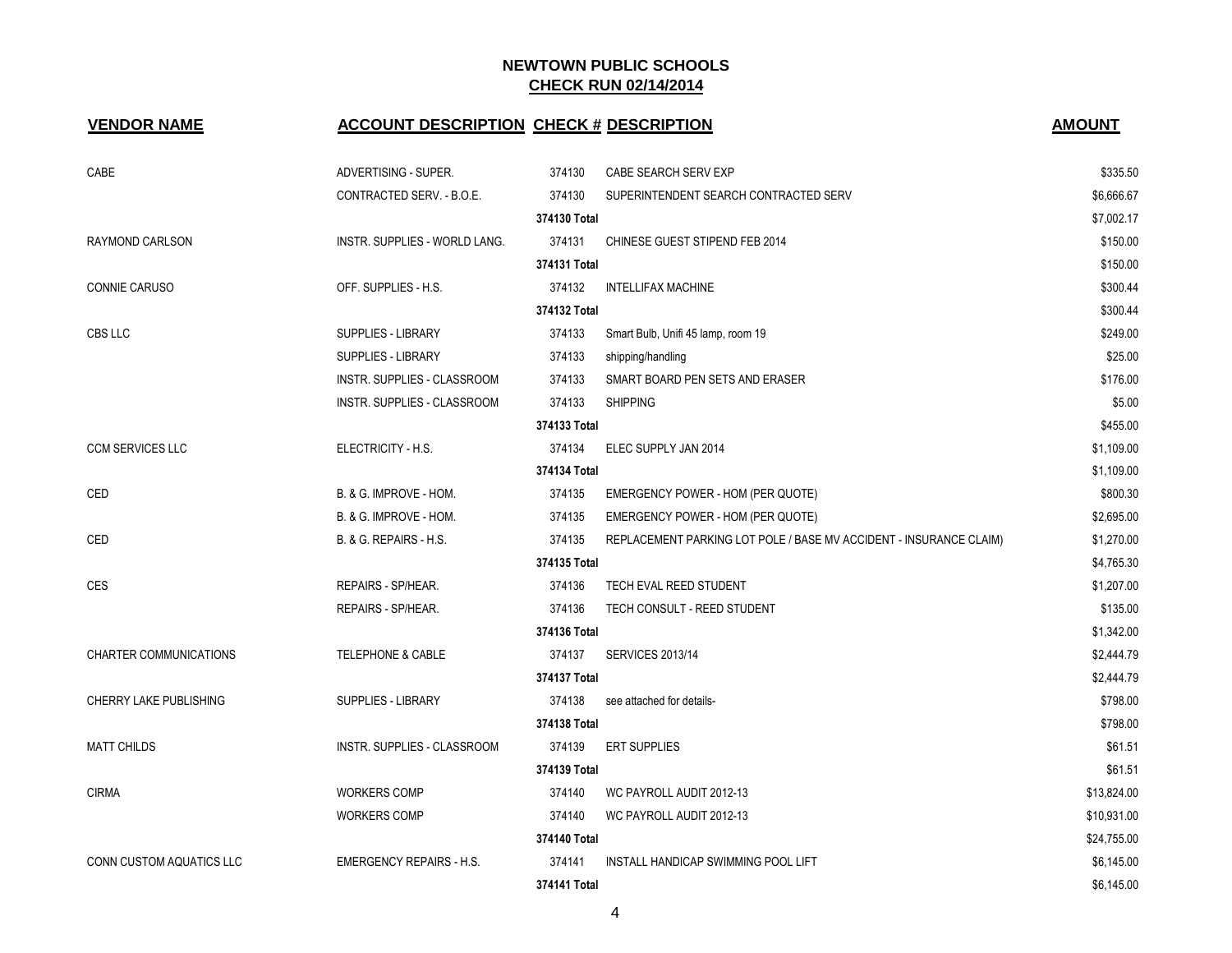| <b>VENDOR NAME</b>       | <b>ACCOUNT DESCRIPTION CHECK # DESCRIPTION</b> |              |                                                                    | <b>AMOUNT</b> |
|--------------------------|------------------------------------------------|--------------|--------------------------------------------------------------------|---------------|
| CABE                     | ADVERTISING - SUPER.                           | 374130       | CABE SEARCH SERV EXP                                               | \$335.50      |
|                          | CONTRACTED SERV. - B.O.E.                      | 374130       | SUPERINTENDENT SEARCH CONTRACTED SERV                              | \$6,666.67    |
|                          |                                                | 374130 Total |                                                                    | \$7,002.17    |
| RAYMOND CARLSON          | INSTR. SUPPLIES - WORLD LANG.                  | 374131       | CHINESE GUEST STIPEND FEB 2014                                     | \$150.00      |
|                          |                                                | 374131 Total |                                                                    | \$150.00      |
| CONNIE CARUSO            | OFF. SUPPLIES - H.S.                           | 374132       | <b>INTELLIFAX MACHINE</b>                                          | \$300.44      |
|                          |                                                | 374132 Total |                                                                    | \$300.44      |
| CBS LLC                  | <b>SUPPLIES - LIBRARY</b>                      | 374133       | Smart Bulb, Unifi 45 lamp, room 19                                 | \$249.00      |
|                          | SUPPLIES - LIBRARY                             | 374133       | shipping/handling                                                  | \$25.00       |
|                          | INSTR. SUPPLIES - CLASSROOM                    | 374133       | SMART BOARD PEN SETS AND ERASER                                    | \$176.00      |
|                          | INSTR. SUPPLIES - CLASSROOM                    | 374133       | <b>SHIPPING</b>                                                    | \$5.00        |
|                          |                                                | 374133 Total |                                                                    | \$455.00      |
| <b>CCM SERVICES LLC</b>  | ELECTRICITY - H.S.                             | 374134       | ELEC SUPPLY JAN 2014                                               | \$1,109.00    |
|                          |                                                | 374134 Total |                                                                    | \$1,109.00    |
| CED                      | B. & G. IMPROVE - HOM.                         | 374135       | EMERGENCY POWER - HOM (PER QUOTE)                                  | \$800.30      |
|                          | B. & G. IMPROVE - HOM.                         | 374135       | EMERGENCY POWER - HOM (PER QUOTE)                                  | \$2,695.00    |
| CED                      | <b>B. &amp; G. REPAIRS - H.S.</b>              | 374135       | REPLACEMENT PARKING LOT POLE / BASE MV ACCIDENT - INSURANCE CLAIM) | \$1,270.00    |
|                          |                                                | 374135 Total |                                                                    | \$4,765.30    |
| CES                      | REPAIRS - SP/HEAR.                             | 374136       | TECH EVAL REED STUDENT                                             | \$1,207.00    |
|                          | REPAIRS - SP/HEAR.                             | 374136       | TECH CONSULT - REED STUDENT                                        | \$135.00      |
|                          |                                                | 374136 Total |                                                                    | \$1,342.00    |
| CHARTER COMMUNICATIONS   | <b>TELEPHONE &amp; CABLE</b>                   | 374137       | <b>SERVICES 2013/14</b>                                            | \$2,444.79    |
|                          |                                                | 374137 Total |                                                                    | \$2,444.79    |
| CHERRY LAKE PUBLISHING   | <b>SUPPLIES - LIBRARY</b>                      | 374138       | see attached for details-                                          | \$798.00      |
|                          |                                                | 374138 Total |                                                                    | \$798.00      |
| <b>MATT CHILDS</b>       | INSTR. SUPPLIES - CLASSROOM                    | 374139       | <b>ERT SUPPLIES</b>                                                | \$61.51       |
|                          |                                                | 374139 Total |                                                                    | \$61.51       |
| <b>CIRMA</b>             | <b>WORKERS COMP</b>                            | 374140       | WC PAYROLL AUDIT 2012-13                                           | \$13,824.00   |
|                          | <b>WORKERS COMP</b>                            | 374140       | WC PAYROLL AUDIT 2012-13                                           | \$10,931.00   |
|                          |                                                | 374140 Total |                                                                    | \$24,755.00   |
| CONN CUSTOM AQUATICS LLC | <b>EMERGENCY REPAIRS - H.S.</b>                | 374141       | INSTALL HANDICAP SWIMMING POOL LIFT                                | \$6,145.00    |
|                          |                                                | 374141 Total |                                                                    | \$6,145.00    |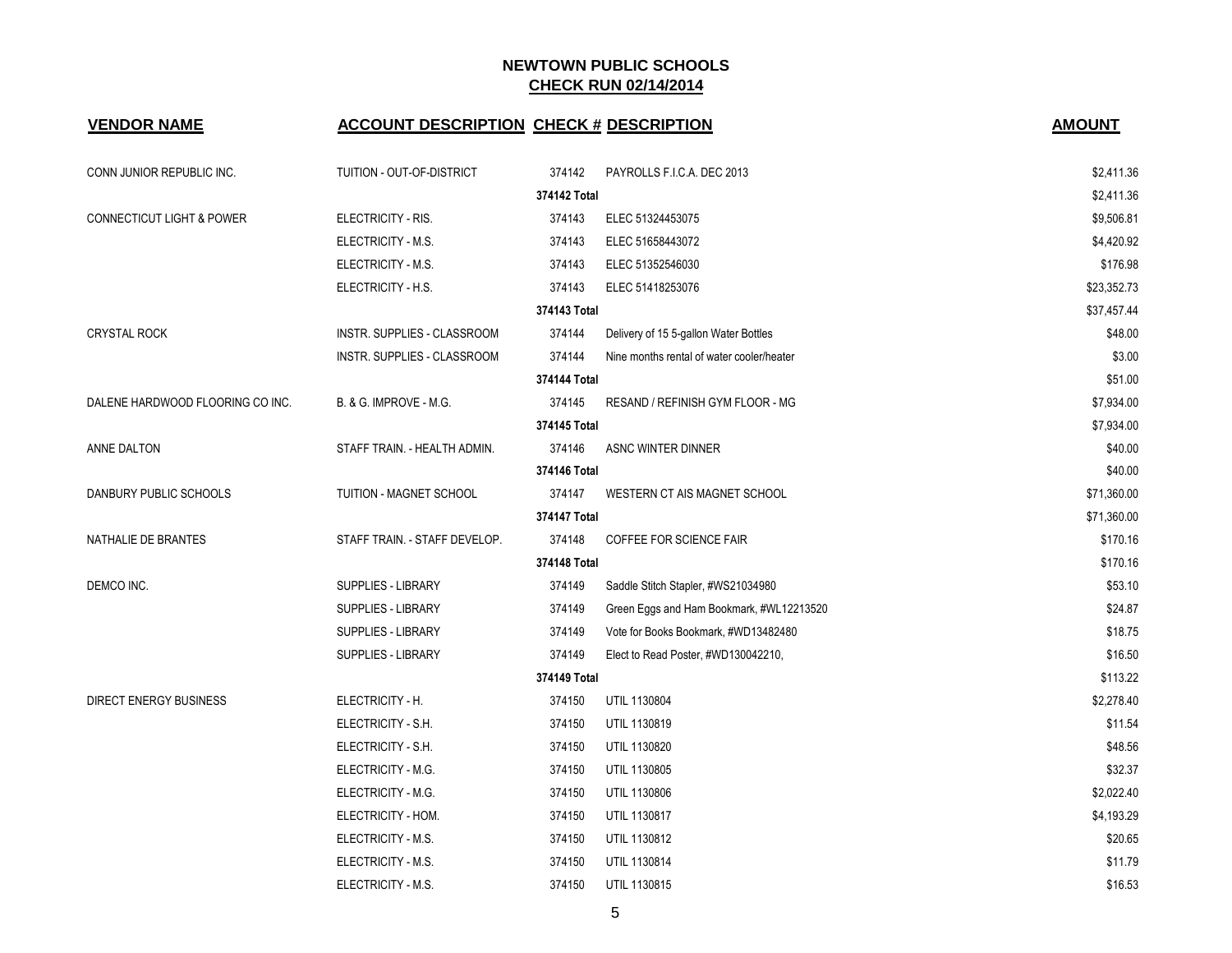| <b>VENDOR NAME</b>                   | <b>ACCOUNT DESCRIPTION CHECK # DESCRIPTION</b> |              |                                           | <b>AMOUNT</b> |
|--------------------------------------|------------------------------------------------|--------------|-------------------------------------------|---------------|
| CONN JUNIOR REPUBLIC INC.            | TUITION - OUT-OF-DISTRICT                      | 374142       | PAYROLLS F.I.C.A. DEC 2013                | \$2,411.36    |
|                                      |                                                | 374142 Total |                                           | \$2,411.36    |
| <b>CONNECTICUT LIGHT &amp; POWER</b> | ELECTRICITY - RIS.                             | 374143       | ELEC 51324453075                          | \$9,506.81    |
|                                      | ELECTRICITY - M.S.                             | 374143       | ELEC 51658443072                          | \$4,420.92    |
|                                      | ELECTRICITY - M.S.                             | 374143       | ELEC 51352546030                          | \$176.98      |
|                                      | ELECTRICITY - H.S.                             | 374143       | ELEC 51418253076                          | \$23,352.73   |
|                                      |                                                | 374143 Total |                                           | \$37,457.44   |
| <b>CRYSTAL ROCK</b>                  | INSTR. SUPPLIES - CLASSROOM                    | 374144       | Delivery of 15 5-gallon Water Bottles     | \$48.00       |
|                                      | INSTR. SUPPLIES - CLASSROOM                    | 374144       | Nine months rental of water cooler/heater | \$3.00        |
|                                      |                                                | 374144 Total |                                           | \$51.00       |
| DALENE HARDWOOD FLOORING CO INC.     | B. & G. IMPROVE - M.G.                         | 374145       | RESAND / REFINISH GYM FLOOR - MG          | \$7,934.00    |
|                                      |                                                | 374145 Total |                                           | \$7,934.00    |
| ANNE DALTON                          | STAFF TRAIN. - HEALTH ADMIN.                   | 374146       | ASNC WINTER DINNER                        | \$40.00       |
|                                      |                                                | 374146 Total |                                           | \$40.00       |
| DANBURY PUBLIC SCHOOLS               | TUITION - MAGNET SCHOOL                        | 374147       | WESTERN CT AIS MAGNET SCHOOL              | \$71,360.00   |
|                                      |                                                | 374147 Total |                                           | \$71,360.00   |
| NATHALIE DE BRANTES                  | STAFF TRAIN. - STAFF DEVELOP.                  | 374148       | COFFEE FOR SCIENCE FAIR                   | \$170.16      |
|                                      |                                                | 374148 Total |                                           | \$170.16      |
| DEMCO INC.                           | SUPPLIES - LIBRARY                             | 374149       | Saddle Stitch Stapler, #WS21034980        | \$53.10       |
|                                      | SUPPLIES - LIBRARY                             | 374149       | Green Eggs and Ham Bookmark, #WL12213520  | \$24.87       |
|                                      | SUPPLIES - LIBRARY                             | 374149       | Vote for Books Bookmark, #WD13482480      | \$18.75       |
|                                      | SUPPLIES - LIBRARY                             | 374149       | Elect to Read Poster, #WD130042210,       | \$16.50       |
|                                      |                                                | 374149 Total |                                           | \$113.22      |
| <b>DIRECT ENERGY BUSINESS</b>        | ELECTRICITY - H.                               | 374150       | UTIL 1130804                              | \$2,278.40    |
|                                      | ELECTRICITY - S.H.                             | 374150       | UTIL 1130819                              | \$11.54       |
|                                      | ELECTRICITY - S.H.                             | 374150       | UTIL 1130820                              | \$48.56       |
|                                      | ELECTRICITY - M.G.                             | 374150       | UTIL 1130805                              | \$32.37       |
|                                      | ELECTRICITY - M.G.                             | 374150       | UTIL 1130806                              | \$2,022.40    |
|                                      | ELECTRICITY - HOM.                             | 374150       | UTIL 1130817                              | \$4,193.29    |
|                                      | ELECTRICITY - M.S.                             | 374150       | UTIL 1130812                              | \$20.65       |
|                                      | ELECTRICITY - M.S.                             | 374150       | UTIL 1130814                              | \$11.79       |
|                                      | ELECTRICITY - M.S.                             | 374150       | UTIL 1130815                              | \$16.53       |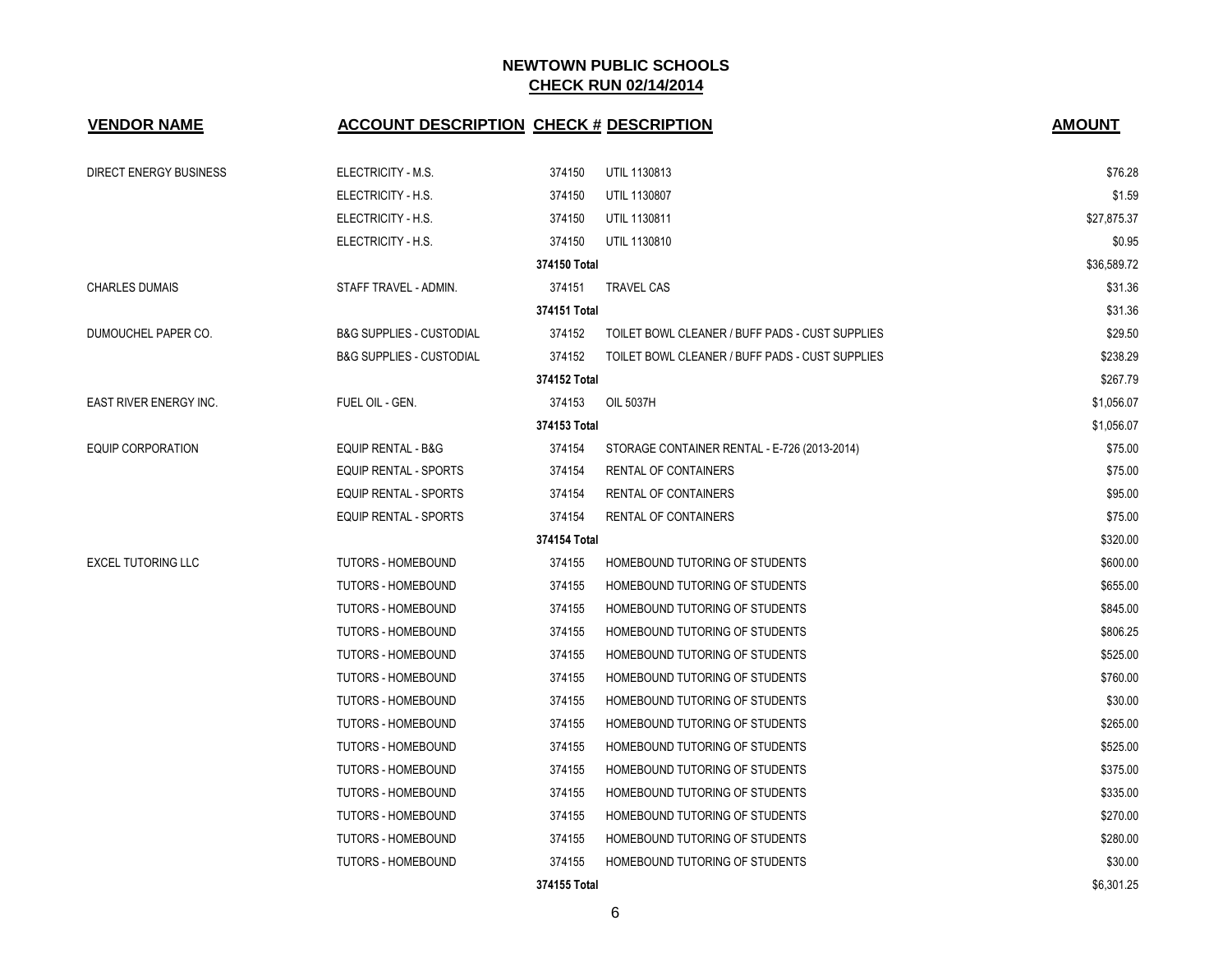| <b>VENDOR NAME</b>            | <b>ACCOUNT DESCRIPTION CHECK # DESCRIPTION</b> |              |                                                 | <b>AMOUNT</b> |
|-------------------------------|------------------------------------------------|--------------|-------------------------------------------------|---------------|
| DIRECT ENERGY BUSINESS        | ELECTRICITY - M.S.                             | 374150       | <b>UTIL 1130813</b>                             | \$76.28       |
|                               | ELECTRICITY - H.S.                             | 374150       | UTIL 1130807                                    | \$1.59        |
|                               | ELECTRICITY - H.S.                             | 374150       | UTIL 1130811                                    | \$27,875.37   |
|                               | ELECTRICITY - H.S.                             | 374150       | <b>UTIL 1130810</b>                             | \$0.95        |
|                               |                                                | 374150 Total |                                                 | \$36,589.72   |
| <b>CHARLES DUMAIS</b>         | STAFF TRAVEL - ADMIN.                          | 374151       | <b>TRAVEL CAS</b>                               | \$31.36       |
|                               |                                                | 374151 Total |                                                 | \$31.36       |
| DUMOUCHEL PAPER CO.           | <b>B&amp;G SUPPLIES - CUSTODIAL</b>            | 374152       | TOILET BOWL CLEANER / BUFF PADS - CUST SUPPLIES | \$29.50       |
|                               | <b>B&amp;G SUPPLIES - CUSTODIAL</b>            | 374152       | TOILET BOWL CLEANER / BUFF PADS - CUST SUPPLIES | \$238.29      |
|                               |                                                | 374152 Total |                                                 | \$267.79      |
| <b>EAST RIVER ENERGY INC.</b> | FUEL OIL - GEN.                                | 374153       | OIL 5037H                                       | \$1,056.07    |
|                               |                                                | 374153 Total |                                                 | \$1,056.07    |
| <b>EQUIP CORPORATION</b>      | EQUIP RENTAL - B&G                             | 374154       | STORAGE CONTAINER RENTAL - E-726 (2013-2014)    | \$75.00       |
|                               | <b>EQUIP RENTAL - SPORTS</b>                   | 374154       | RENTAL OF CONTAINERS                            | \$75.00       |
|                               | <b>EQUIP RENTAL - SPORTS</b>                   | 374154       | <b>RENTAL OF CONTAINERS</b>                     | \$95.00       |
|                               | <b>EQUIP RENTAL - SPORTS</b>                   | 374154       | <b>RENTAL OF CONTAINERS</b>                     | \$75.00       |
|                               |                                                | 374154 Total |                                                 | \$320.00      |
| <b>EXCEL TUTORING LLC</b>     | <b>TUTORS - HOMEBOUND</b>                      | 374155       | HOMEBOUND TUTORING OF STUDENTS                  | \$600.00      |
|                               | <b>TUTORS - HOMEBOUND</b>                      | 374155       | HOMEBOUND TUTORING OF STUDENTS                  | \$655.00      |
|                               | <b>TUTORS - HOMEBOUND</b>                      | 374155       | HOMEBOUND TUTORING OF STUDENTS                  | \$845.00      |
|                               | <b>TUTORS - HOMEBOUND</b>                      | 374155       | HOMEBOUND TUTORING OF STUDENTS                  | \$806.25      |
|                               | <b>TUTORS - HOMEBOUND</b>                      | 374155       | HOMEBOUND TUTORING OF STUDENTS                  | \$525.00      |
|                               | <b>TUTORS - HOMEBOUND</b>                      | 374155       | HOMEBOUND TUTORING OF STUDENTS                  | \$760.00      |
|                               | <b>TUTORS - HOMEBOUND</b>                      | 374155       | HOMEBOUND TUTORING OF STUDENTS                  | \$30.00       |
|                               | <b>TUTORS - HOMEBOUND</b>                      | 374155       | HOMEBOUND TUTORING OF STUDENTS                  | \$265.00      |
|                               | <b>TUTORS - HOMEBOUND</b>                      | 374155       | HOMEBOUND TUTORING OF STUDENTS                  | \$525.00      |
|                               | <b>TUTORS - HOMEBOUND</b>                      | 374155       | HOMEBOUND TUTORING OF STUDENTS                  | \$375.00      |
|                               | <b>TUTORS - HOMEBOUND</b>                      | 374155       | HOMEBOUND TUTORING OF STUDENTS                  | \$335.00      |
|                               | <b>TUTORS - HOMEBOUND</b>                      | 374155       | HOMEBOUND TUTORING OF STUDENTS                  | \$270.00      |
|                               | <b>TUTORS - HOMEBOUND</b>                      | 374155       | HOMEBOUND TUTORING OF STUDENTS                  | \$280.00      |
|                               | <b>TUTORS - HOMEBOUND</b>                      | 374155       | HOMEBOUND TUTORING OF STUDENTS                  | \$30.00       |
|                               |                                                | 374155 Total |                                                 | \$6,301.25    |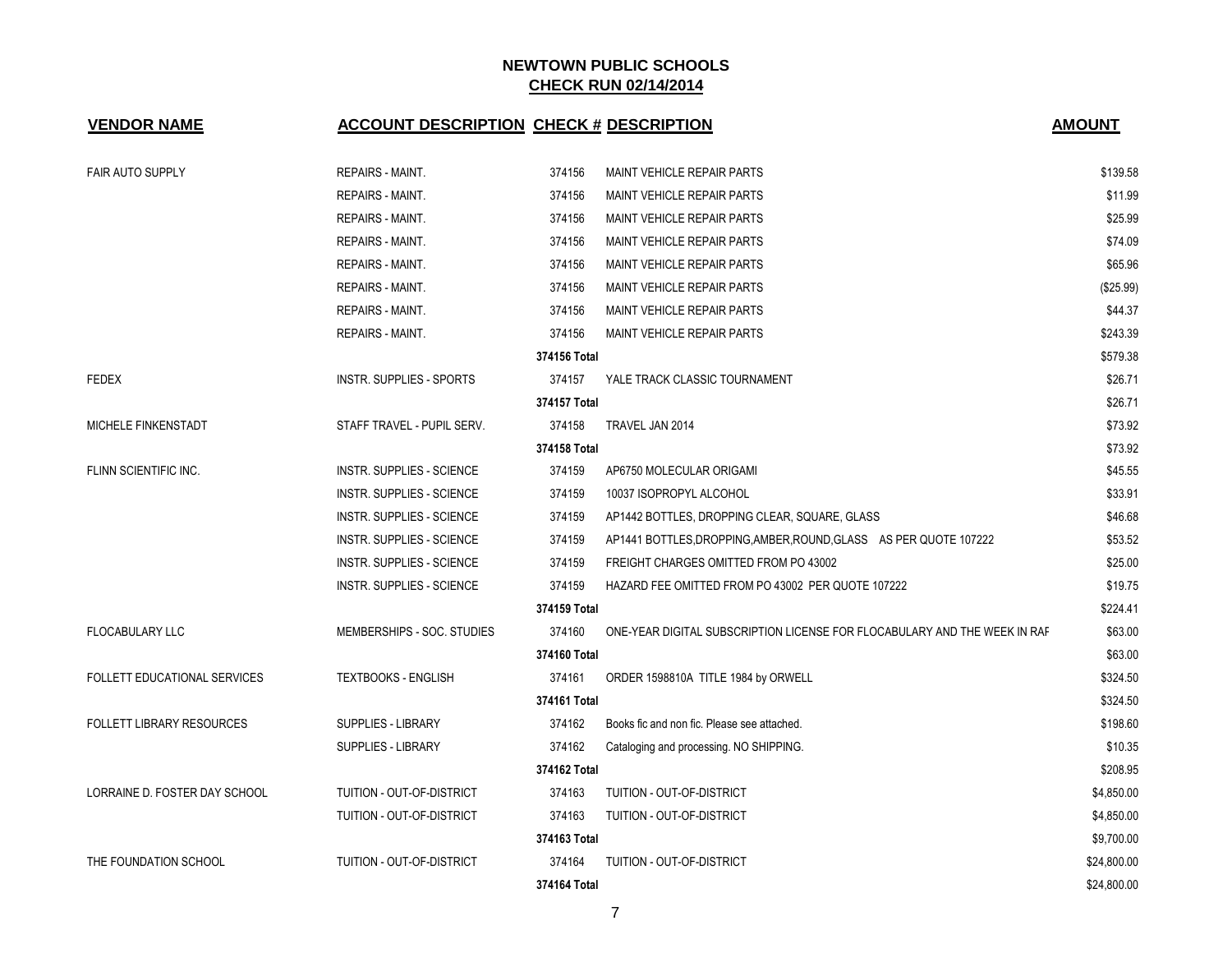| <b>VENDOR NAME</b>               | <b>ACCOUNT DESCRIPTION CHECK # DESCRIPTION</b> |              |                                                                           | <b>AMOUNT</b> |
|----------------------------------|------------------------------------------------|--------------|---------------------------------------------------------------------------|---------------|
| <b>FAIR AUTO SUPPLY</b>          | <b>REPAIRS - MAINT.</b>                        | 374156       | <b>MAINT VEHICLE REPAIR PARTS</b>                                         | \$139.58      |
|                                  | REPAIRS - MAINT.                               | 374156       | <b>MAINT VEHICLE REPAIR PARTS</b>                                         | \$11.99       |
|                                  | <b>REPAIRS - MAINT.</b>                        | 374156       | MAINT VEHICLE REPAIR PARTS                                                | \$25.99       |
|                                  | REPAIRS - MAINT.                               | 374156       | MAINT VEHICLE REPAIR PARTS                                                | \$74.09       |
|                                  | REPAIRS - MAINT.                               | 374156       | MAINT VEHICLE REPAIR PARTS                                                | \$65.96       |
|                                  | REPAIRS - MAINT.                               | 374156       | MAINT VEHICLE REPAIR PARTS                                                | (\$25.99)     |
|                                  | REPAIRS - MAINT.                               | 374156       | <b>MAINT VEHICLE REPAIR PARTS</b>                                         | \$44.37       |
|                                  | <b>REPAIRS - MAINT.</b>                        | 374156       | <b>MAINT VEHICLE REPAIR PARTS</b>                                         | \$243.39      |
|                                  |                                                | 374156 Total |                                                                           | \$579.38      |
| <b>FEDEX</b>                     | INSTR. SUPPLIES - SPORTS                       | 374157       | YALE TRACK CLASSIC TOURNAMENT                                             | \$26.71       |
|                                  |                                                | 374157 Total |                                                                           | \$26.71       |
| MICHELE FINKENSTADT              | STAFF TRAVEL - PUPIL SERV.                     | 374158       | TRAVEL JAN 2014                                                           | \$73.92       |
|                                  |                                                | 374158 Total |                                                                           | \$73.92       |
| FLINN SCIENTIFIC INC.            | INSTR. SUPPLIES - SCIENCE                      | 374159       | AP6750 MOLECULAR ORIGAMI                                                  | \$45.55       |
|                                  | INSTR. SUPPLIES - SCIENCE                      | 374159       | 10037 ISOPROPYL ALCOHOL                                                   | \$33.91       |
|                                  | INSTR. SUPPLIES - SCIENCE                      | 374159       | AP1442 BOTTLES, DROPPING CLEAR, SQUARE, GLASS                             | \$46.68       |
|                                  | INSTR. SUPPLIES - SCIENCE                      | 374159       | AP1441 BOTTLES, DROPPING, AMBER, ROUND, GLASS AS PER QUOTE 107222         | \$53.52       |
|                                  | INSTR. SUPPLIES - SCIENCE                      | 374159       | FREIGHT CHARGES OMITTED FROM PO 43002                                     | \$25.00       |
|                                  | INSTR. SUPPLIES - SCIENCE                      | 374159       | HAZARD FEE OMITTED FROM PO 43002 PER QUOTE 107222                         | \$19.75       |
|                                  |                                                | 374159 Total |                                                                           | \$224.41      |
| <b>FLOCABULARY LLC</b>           | MEMBERSHIPS - SOC. STUDIES                     | 374160       | ONE-YEAR DIGITAL SUBSCRIPTION LICENSE FOR FLOCABULARY AND THE WEEK IN RAF | \$63.00       |
|                                  |                                                | 374160 Total |                                                                           | \$63.00       |
| FOLLETT EDUCATIONAL SERVICES     | <b>TEXTBOOKS - ENGLISH</b>                     | 374161       | ORDER 1598810A TITLE 1984 by ORWELL                                       | \$324.50      |
|                                  |                                                | 374161 Total |                                                                           | \$324.50      |
| <b>FOLLETT LIBRARY RESOURCES</b> | SUPPLIES - LIBRARY                             | 374162       | Books fic and non fic. Please see attached.                               | \$198.60      |
|                                  | <b>SUPPLIES - LIBRARY</b>                      | 374162       | Cataloging and processing. NO SHIPPING.                                   | \$10.35       |
|                                  |                                                | 374162 Total |                                                                           | \$208.95      |
| LORRAINE D. FOSTER DAY SCHOOL    | TUITION - OUT-OF-DISTRICT                      | 374163       | TUITION - OUT-OF-DISTRICT                                                 | \$4,850.00    |
|                                  | TUITION - OUT-OF-DISTRICT                      | 374163       | TUITION - OUT-OF-DISTRICT                                                 | \$4,850.00    |
|                                  |                                                | 374163 Total |                                                                           | \$9,700.00    |
| THE FOUNDATION SCHOOL            | TUITION - OUT-OF-DISTRICT                      | 374164       | TUITION - OUT-OF-DISTRICT                                                 | \$24,800.00   |
|                                  |                                                | 374164 Total |                                                                           | \$24,800.00   |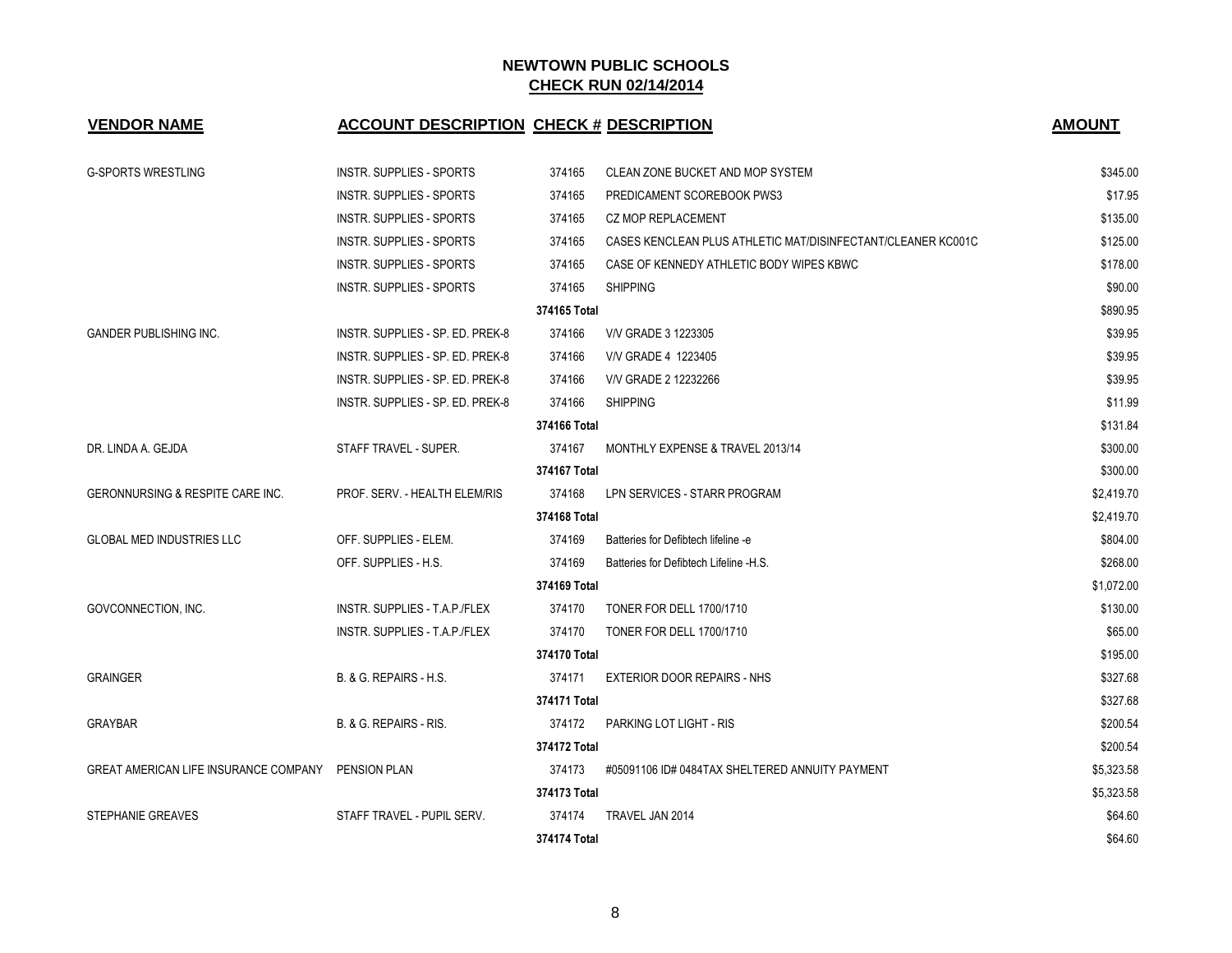| <b>VENDOR NAME</b>                                 | <b>ACCOUNT DESCRIPTION CHECK # DESCRIPTION</b> |              |                                                              | <b>AMOUNT</b> |
|----------------------------------------------------|------------------------------------------------|--------------|--------------------------------------------------------------|---------------|
| <b>G-SPORTS WRESTLING</b>                          | INSTR. SUPPLIES - SPORTS                       | 374165       | CLEAN ZONE BUCKET AND MOP SYSTEM                             | \$345.00      |
|                                                    | INSTR. SUPPLIES - SPORTS                       | 374165       | PREDICAMENT SCOREBOOK PWS3                                   | \$17.95       |
|                                                    | INSTR. SUPPLIES - SPORTS                       | 374165       | <b>CZ MOP REPLACEMENT</b>                                    | \$135.00      |
|                                                    | INSTR. SUPPLIES - SPORTS                       | 374165       | CASES KENCLEAN PLUS ATHLETIC MAT/DISINFECTANT/CLEANER KC001C | \$125.00      |
|                                                    | INSTR. SUPPLIES - SPORTS                       | 374165       | CASE OF KENNEDY ATHLETIC BODY WIPES KBWC                     | \$178.00      |
|                                                    | INSTR. SUPPLIES - SPORTS                       | 374165       | <b>SHIPPING</b>                                              | \$90.00       |
|                                                    |                                                | 374165 Total |                                                              | \$890.95      |
| <b>GANDER PUBLISHING INC.</b>                      | INSTR. SUPPLIES - SP. ED. PREK-8               | 374166       | V/V GRADE 3 1223305                                          | \$39.95       |
|                                                    | INSTR. SUPPLIES - SP. ED. PREK-8               | 374166       | V/V GRADE 4 1223405                                          | \$39.95       |
|                                                    | INSTR. SUPPLIES - SP. ED. PREK-8               | 374166       | V/V GRADE 2 12232266                                         | \$39.95       |
|                                                    | INSTR. SUPPLIES - SP. ED. PREK-8               | 374166       | <b>SHIPPING</b>                                              | \$11.99       |
|                                                    |                                                | 374166 Total |                                                              | \$131.84      |
| DR. LINDA A. GEJDA                                 | STAFF TRAVEL - SUPER.                          | 374167       | MONTHLY EXPENSE & TRAVEL 2013/14                             | \$300.00      |
|                                                    |                                                | 374167 Total |                                                              | \$300.00      |
| <b>GERONNURSING &amp; RESPITE CARE INC.</b>        | PROF. SERV. - HEALTH ELEM/RIS                  | 374168       | LPN SERVICES - STARR PROGRAM                                 | \$2,419.70    |
|                                                    |                                                | 374168 Total |                                                              | \$2,419.70    |
| <b>GLOBAL MED INDUSTRIES LLC</b>                   | OFF. SUPPLIES - ELEM.                          | 374169       | Batteries for Defibtech lifeline -e                          | \$804.00      |
|                                                    | OFF. SUPPLIES - H.S.                           | 374169       | Batteries for Defibtech Lifeline -H.S.                       | \$268.00      |
|                                                    |                                                | 374169 Total |                                                              | \$1,072.00    |
| GOVCONNECTION, INC.                                | INSTR. SUPPLIES - T.A.P./FLEX                  | 374170       | TONER FOR DELL 1700/1710                                     | \$130.00      |
|                                                    | INSTR. SUPPLIES - T.A.P./FLEX                  | 374170       | TONER FOR DELL 1700/1710                                     | \$65.00       |
|                                                    |                                                | 374170 Total |                                                              | \$195.00      |
| <b>GRAINGER</b>                                    | <b>B. &amp; G. REPAIRS - H.S.</b>              | 374171       | <b>EXTERIOR DOOR REPAIRS - NHS</b>                           | \$327.68      |
|                                                    |                                                | 374171 Total |                                                              | \$327.68      |
| <b>GRAYBAR</b>                                     | B. & G. REPAIRS - RIS.                         | 374172       | PARKING LOT LIGHT - RIS                                      | \$200.54      |
|                                                    |                                                | 374172 Total |                                                              | \$200.54      |
| GREAT AMERICAN LIFE INSURANCE COMPANY PENSION PLAN |                                                | 374173       | #05091106 ID# 0484TAX SHELTERED ANNUITY PAYMENT              | \$5,323.58    |
|                                                    |                                                | 374173 Total |                                                              | \$5,323.58    |
| <b>STEPHANIE GREAVES</b>                           | STAFF TRAVEL - PUPIL SERV.                     | 374174       | TRAVEL JAN 2014                                              | \$64.60       |
|                                                    |                                                | 374174 Total |                                                              | \$64.60       |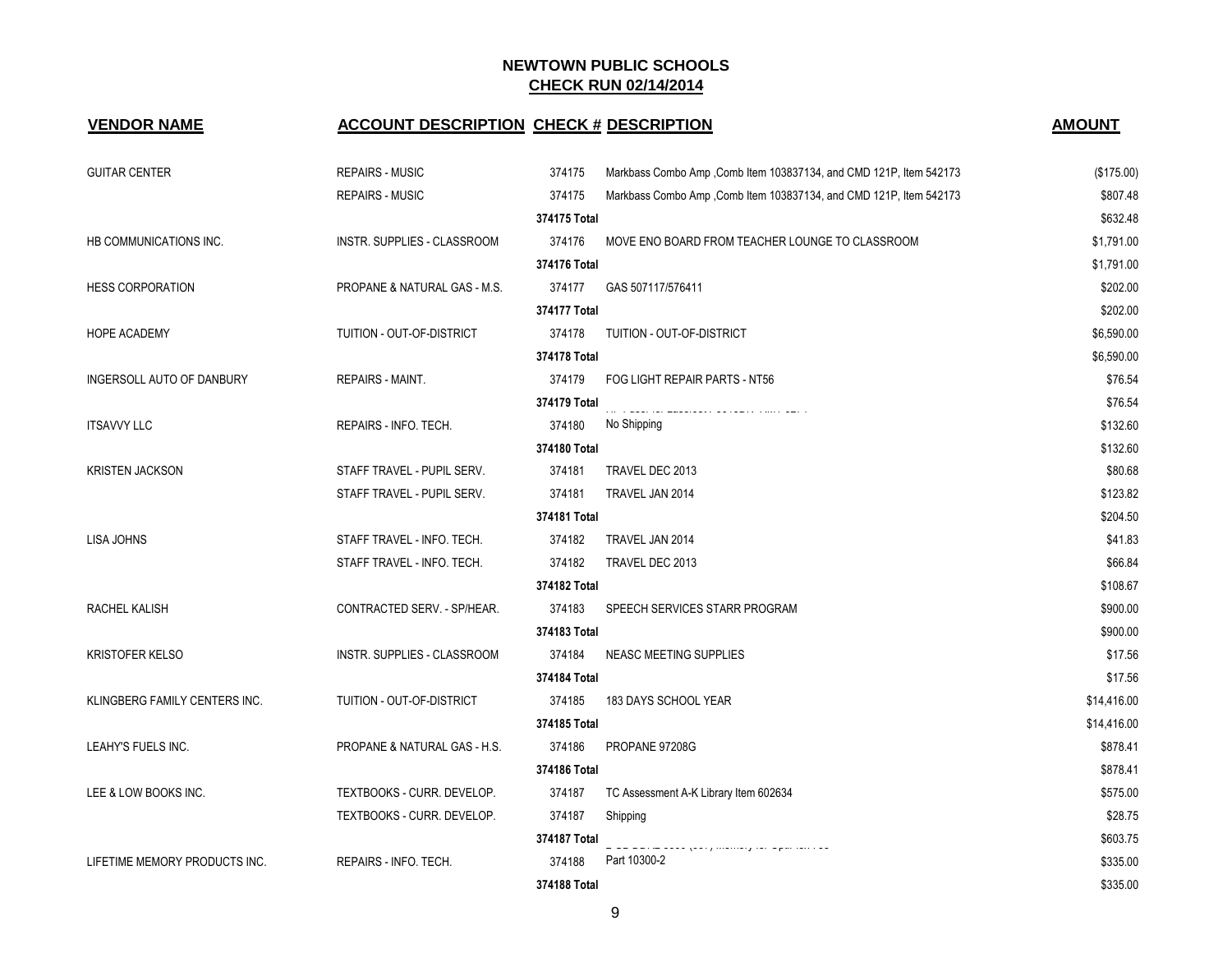# **VENDOR NAME ACCOUNT DESCRIPTION CHECK # DESCRIPTION AMOUNT** GUITAR CENTER **EXALGATER** CENTER SALGATER REPAIRS - MUSIC 374175 Markbass Combo Amp ,Comb Item 103837134, and CMD 121P, Item 542173 (\$175.00) REPAIRS - MUSIC **1980 COMP 374175** Markbass Combo Amp ,Comb Item 103837134, and CMD 121P, Item 542173 **374175 Total** \$632.48 HB COMMUNICATIONS INC. The Supplies - CLASSROOM 374176 MOVE ENO BOARD FROM TEACHER LOUNGE TO CLASSROOM \$1,791.00 **374176 Total** \$1,791.00 HESS CORPORATION CORPORATION PROPANE & NATURAL GAS - M.S. 374177 GAS 507117/576411 **374177 Total** \$202.00 HOPE ACADEMY TUITION - OUT-OF-DISTRICT 374178 TUITION - OUT-OF-DISTRICT \$6,590.00 **374178 Total** \$6,590.00 INGERSOLL AUTO OF DANBURY **REPAIRS - MAINT.** A CONSERVERS AND MALL ASSESSED FOR LIGHT REPAIR PARTS - NT56 \$76.54 \$76.54 \$76.54 \$76.54 \$76.54 \$76.54 \$76.54 \$76.54 \$76.54 \$76.54 \$76.54 \$76.54 \$76.54 \$76.54 \$76.54 \$76.54 \$76. **374179 Total** \$76.54 ITSAVVY LLC **CONTRAINS INFO. INFO. TECH.** 374180 No Shipping \$132.60 **374180 Total** \$132.60 KRISTEN JACKSON STAFF TRAVEL - PUPIL SERV. STAFF TRAVEL DEC 2013 STAFF TRAVEL DEC 2014 STAFF TRAVEL - PUPIL SERV. 374181 TRAVEL JAN 2014 \$123.82 **374181 Total** \$204.50 LISA JOHNS STAFF TRAVEL - INFO. TECH. STAFF TRAVEL 1.0 STATE STATE AND STAFF TRAVEL JAN 2014 STAFF TRAVEL - INFO. TECH. 374182 TRAVEL DEC 2013 \$66.84 **374182 Total** \$108.67 RACHEL KALISH CONTRACTED SERV. - SP/HEAR. 374183 SPEECH SERVICES STARR PROGRAM \$900.00 **374183 Total** \$900.00 KRISTOFER KELSO INSTR. SUPPLIES - CLASSROOM 374184 NEASC MEETING SUPPLIES \$17.56 **374184 Total** \$17.56 KLINGBERG FAMILY CENTERS INC. TUITION - OUT-OF-DISTRICT 374185 183 DAYS SCHOOL YEAR \$14,416.000 S14,416.00 **374185 Total** \$14,416.00 LEAHY'S FUELS INC. Notice that the REAL PROPANE & NATURAL GAS - H.S. 374186 PROPANE 97208G \$878.41 and \$878.41 **374186 Total** \$878.41 LEE & LOW BOOKS INC. THEXTBOOKS - CURR. DEVELOP. 374187 TC Assessment A-K Library Item 602634 \$575.00 TEXTBOOKS - CURR. DEVELOP. 374187 Shipping \$28.75 **374187 Total** \$603.75 LIFETIME MEMORY PRODUCTS INC. REPAIRS - INFO. TECH. 374188 Part 10300-2  $$335.00$

**374188 Total** \$335.00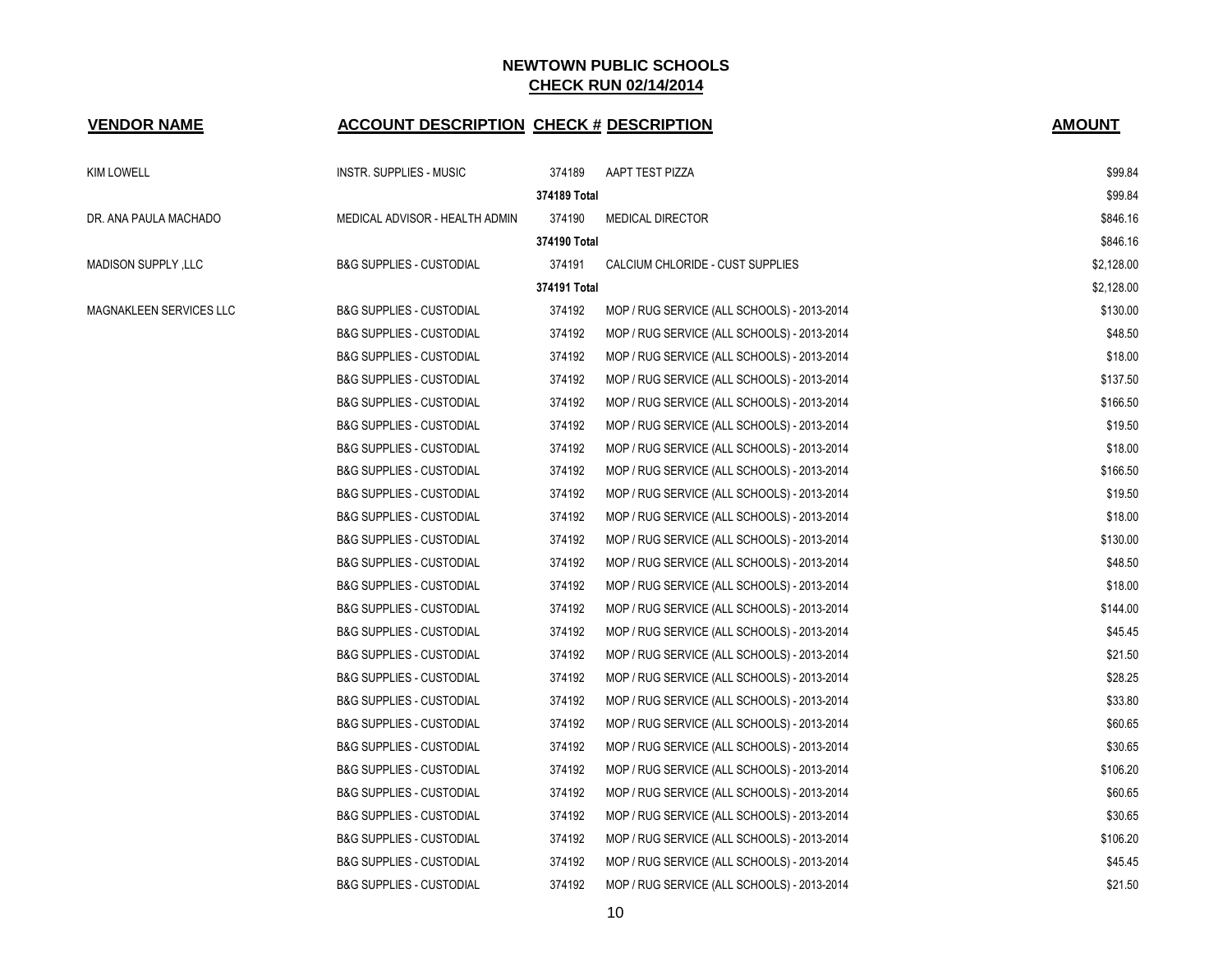| <b>VENDOR NAME</b>      | <b>ACCOUNT DESCRIPTION CHECK # DESCRIPTION</b> |              |                                             | <b>AMOUNT</b> |
|-------------------------|------------------------------------------------|--------------|---------------------------------------------|---------------|
| <b>KIM LOWELL</b>       | INSTR. SUPPLIES - MUSIC                        | 374189       | AAPT TEST PIZZA                             | \$99.84       |
|                         |                                                | 374189 Total |                                             | \$99.84       |
| DR. ANA PAULA MACHADO   | MEDICAL ADVISOR - HEALTH ADMIN                 | 374190       | <b>MEDICAL DIRECTOR</b>                     | \$846.16      |
|                         |                                                | 374190 Total |                                             | \$846.16      |
| MADISON SUPPLY, LLC     | <b>B&amp;G SUPPLIES - CUSTODIAL</b>            | 374191       | CALCIUM CHLORIDE - CUST SUPPLIES            | \$2,128.00    |
|                         |                                                | 374191 Total |                                             | \$2,128.00    |
| MAGNAKLEEN SERVICES LLC | <b>B&amp;G SUPPLIES - CUSTODIAL</b>            | 374192       | MOP / RUG SERVICE (ALL SCHOOLS) - 2013-2014 | \$130.00      |
|                         | <b>B&amp;G SUPPLIES - CUSTODIAL</b>            | 374192       | MOP / RUG SERVICE (ALL SCHOOLS) - 2013-2014 | \$48.50       |
|                         | <b>B&amp;G SUPPLIES - CUSTODIAL</b>            | 374192       | MOP / RUG SERVICE (ALL SCHOOLS) - 2013-2014 | \$18.00       |
|                         | <b>B&amp;G SUPPLIES - CUSTODIAL</b>            | 374192       | MOP / RUG SERVICE (ALL SCHOOLS) - 2013-2014 | \$137.50      |
|                         | <b>B&amp;G SUPPLIES - CUSTODIAL</b>            | 374192       | MOP / RUG SERVICE (ALL SCHOOLS) - 2013-2014 | \$166.50      |
|                         | <b>B&amp;G SUPPLIES - CUSTODIAL</b>            | 374192       | MOP / RUG SERVICE (ALL SCHOOLS) - 2013-2014 | \$19.50       |
|                         | <b>B&amp;G SUPPLIES - CUSTODIAL</b>            | 374192       | MOP / RUG SERVICE (ALL SCHOOLS) - 2013-2014 | \$18.00       |
|                         | <b>B&amp;G SUPPLIES - CUSTODIAL</b>            | 374192       | MOP / RUG SERVICE (ALL SCHOOLS) - 2013-2014 | \$166.50      |
|                         | <b>B&amp;G SUPPLIES - CUSTODIAL</b>            | 374192       | MOP / RUG SERVICE (ALL SCHOOLS) - 2013-2014 | \$19.50       |
|                         | <b>B&amp;G SUPPLIES - CUSTODIAL</b>            | 374192       | MOP / RUG SERVICE (ALL SCHOOLS) - 2013-2014 | \$18.00       |
|                         | <b>B&amp;G SUPPLIES - CUSTODIAL</b>            | 374192       | MOP / RUG SERVICE (ALL SCHOOLS) - 2013-2014 | \$130.00      |
|                         | <b>B&amp;G SUPPLIES - CUSTODIAL</b>            | 374192       | MOP / RUG SERVICE (ALL SCHOOLS) - 2013-2014 | \$48.50       |
|                         | <b>B&amp;G SUPPLIES - CUSTODIAL</b>            | 374192       | MOP / RUG SERVICE (ALL SCHOOLS) - 2013-2014 | \$18.00       |
|                         | <b>B&amp;G SUPPLIES - CUSTODIAL</b>            | 374192       | MOP / RUG SERVICE (ALL SCHOOLS) - 2013-2014 | \$144.00      |
|                         | <b>B&amp;G SUPPLIES - CUSTODIAL</b>            | 374192       | MOP / RUG SERVICE (ALL SCHOOLS) - 2013-2014 | \$45.45       |
|                         | <b>B&amp;G SUPPLIES - CUSTODIAL</b>            | 374192       | MOP / RUG SERVICE (ALL SCHOOLS) - 2013-2014 | \$21.50       |
|                         | <b>B&amp;G SUPPLIES - CUSTODIAL</b>            | 374192       | MOP / RUG SERVICE (ALL SCHOOLS) - 2013-2014 | \$28.25       |
|                         | <b>B&amp;G SUPPLIES - CUSTODIAL</b>            | 374192       | MOP / RUG SERVICE (ALL SCHOOLS) - 2013-2014 | \$33.80       |
|                         | <b>B&amp;G SUPPLIES - CUSTODIAL</b>            | 374192       | MOP / RUG SERVICE (ALL SCHOOLS) - 2013-2014 | \$60.65       |
|                         | <b>B&amp;G SUPPLIES - CUSTODIAL</b>            | 374192       | MOP / RUG SERVICE (ALL SCHOOLS) - 2013-2014 | \$30.65       |
|                         | <b>B&amp;G SUPPLIES - CUSTODIAL</b>            | 374192       | MOP / RUG SERVICE (ALL SCHOOLS) - 2013-2014 | \$106.20      |
|                         | <b>B&amp;G SUPPLIES - CUSTODIAL</b>            | 374192       | MOP / RUG SERVICE (ALL SCHOOLS) - 2013-2014 | \$60.65       |
|                         | <b>B&amp;G SUPPLIES - CUSTODIAL</b>            | 374192       | MOP / RUG SERVICE (ALL SCHOOLS) - 2013-2014 | \$30.65       |
|                         | <b>B&amp;G SUPPLIES - CUSTODIAL</b>            | 374192       | MOP / RUG SERVICE (ALL SCHOOLS) - 2013-2014 | \$106.20      |
|                         | <b>B&amp;G SUPPLIES - CUSTODIAL</b>            | 374192       | MOP / RUG SERVICE (ALL SCHOOLS) - 2013-2014 | \$45.45       |
|                         | <b>B&amp;G SUPPLIES - CUSTODIAL</b>            | 374192       | MOP / RUG SERVICE (ALL SCHOOLS) - 2013-2014 | \$21.50       |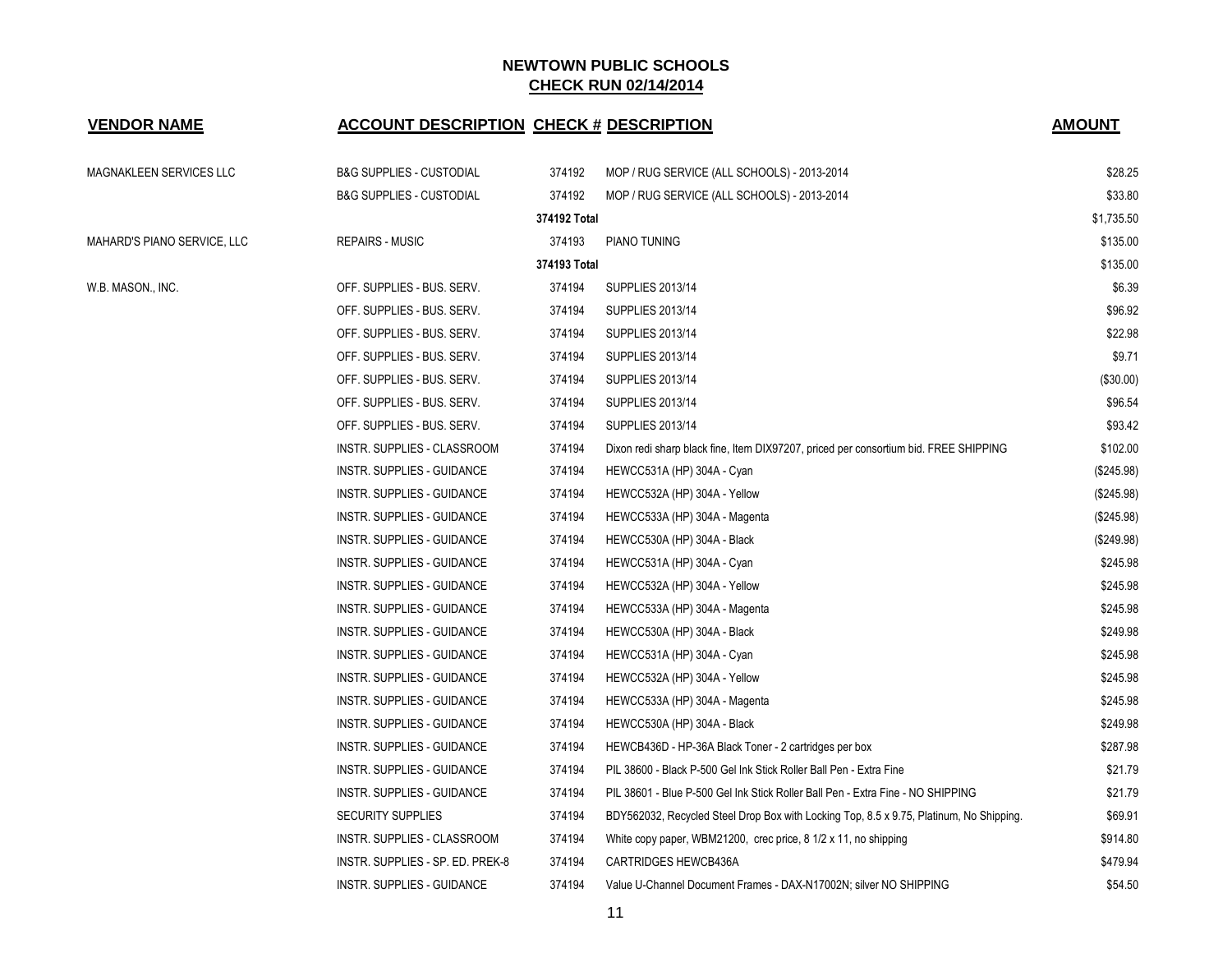| <b>VENDOR NAME</b>          | <b>ACCOUNT DESCRIPTION CHECK # DESCRIPTION</b> |              |                                                                                         | <b>AMOUNT</b> |
|-----------------------------|------------------------------------------------|--------------|-----------------------------------------------------------------------------------------|---------------|
| MAGNAKLEEN SERVICES LLC     | <b>B&amp;G SUPPLIES - CUSTODIAL</b>            | 374192       | MOP / RUG SERVICE (ALL SCHOOLS) - 2013-2014                                             | \$28.25       |
|                             | <b>B&amp;G SUPPLIES - CUSTODIAL</b>            | 374192       | MOP / RUG SERVICE (ALL SCHOOLS) - 2013-2014                                             | \$33.80       |
|                             |                                                | 374192 Total |                                                                                         | \$1,735.50    |
| MAHARD'S PIANO SERVICE, LLC | <b>REPAIRS - MUSIC</b>                         | 374193       | <b>PIANO TUNING</b>                                                                     | \$135.00      |
|                             |                                                | 374193 Total |                                                                                         | \$135.00      |
| W.B. MASON., INC.           | OFF. SUPPLIES - BUS. SERV.                     | 374194       | SUPPLIES 2013/14                                                                        | \$6.39        |
|                             | OFF. SUPPLIES - BUS. SERV.                     | 374194       | <b>SUPPLIES 2013/14</b>                                                                 | \$96.92       |
|                             | OFF. SUPPLIES - BUS. SERV.                     | 374194       | <b>SUPPLIES 2013/14</b>                                                                 | \$22.98       |
|                             | OFF. SUPPLIES - BUS. SERV.                     | 374194       | SUPPLIES 2013/14                                                                        | \$9.71        |
|                             | OFF. SUPPLIES - BUS. SERV.                     | 374194       | <b>SUPPLIES 2013/14</b>                                                                 | $(\$30.00)$   |
|                             | OFF. SUPPLIES - BUS. SERV.                     | 374194       | <b>SUPPLIES 2013/14</b>                                                                 | \$96.54       |
|                             | OFF. SUPPLIES - BUS. SERV.                     | 374194       | <b>SUPPLIES 2013/14</b>                                                                 | \$93.42       |
|                             | INSTR. SUPPLIES - CLASSROOM                    | 374194       | Dixon redi sharp black fine, Item DIX97207, priced per consortium bid. FREE SHIPPING    | \$102.00      |
|                             | INSTR. SUPPLIES - GUIDANCE                     | 374194       | HEWCC531A (HP) 304A - Cyan                                                              | (\$245.98)    |
|                             | INSTR. SUPPLIES - GUIDANCE                     | 374194       | HEWCC532A (HP) 304A - Yellow                                                            | (\$245.98)    |
|                             | INSTR. SUPPLIES - GUIDANCE                     | 374194       | HEWCC533A (HP) 304A - Magenta                                                           | (\$245.98)    |
|                             | INSTR. SUPPLIES - GUIDANCE                     | 374194       | HEWCC530A (HP) 304A - Black                                                             | (\$249.98)    |
|                             | INSTR. SUPPLIES - GUIDANCE                     | 374194       | HEWCC531A (HP) 304A - Cyan                                                              | \$245.98      |
|                             | INSTR. SUPPLIES - GUIDANCE                     | 374194       | HEWCC532A (HP) 304A - Yellow                                                            | \$245.98      |
|                             | INSTR. SUPPLIES - GUIDANCE                     | 374194       | HEWCC533A (HP) 304A - Magenta                                                           | \$245.98      |
|                             | INSTR. SUPPLIES - GUIDANCE                     | 374194       | HEWCC530A (HP) 304A - Black                                                             | \$249.98      |
|                             | INSTR. SUPPLIES - GUIDANCE                     | 374194       | HEWCC531A (HP) 304A - Cyan                                                              | \$245.98      |
|                             | INSTR. SUPPLIES - GUIDANCE                     | 374194       | HEWCC532A (HP) 304A - Yellow                                                            | \$245.98      |
|                             | INSTR. SUPPLIES - GUIDANCE                     | 374194       | HEWCC533A (HP) 304A - Magenta                                                           | \$245.98      |
|                             | INSTR. SUPPLIES - GUIDANCE                     | 374194       | HEWCC530A (HP) 304A - Black                                                             | \$249.98      |
|                             | INSTR. SUPPLIES - GUIDANCE                     | 374194       | HEWCB436D - HP-36A Black Toner - 2 cartridges per box                                   | \$287.98      |
|                             | INSTR. SUPPLIES - GUIDANCE                     | 374194       | PIL 38600 - Black P-500 Gel Ink Stick Roller Ball Pen - Extra Fine                      | \$21.79       |
|                             | INSTR. SUPPLIES - GUIDANCE                     | 374194       | PIL 38601 - Blue P-500 Gel Ink Stick Roller Ball Pen - Extra Fine - NO SHIPPING         | \$21.79       |
|                             | <b>SECURITY SUPPLIES</b>                       | 374194       | BDY562032, Recycled Steel Drop Box with Locking Top, 8.5 x 9.75, Platinum, No Shipping. | \$69.91       |
|                             | INSTR. SUPPLIES - CLASSROOM                    | 374194       | White copy paper, WBM21200, crec price, 8 1/2 x 11, no shipping                         | \$914.80      |
|                             | INSTR. SUPPLIES - SP. ED. PREK-8               | 374194       | CARTRIDGES HEWCB436A                                                                    | \$479.94      |
|                             | INSTR. SUPPLIES - GUIDANCE                     | 374194       | Value U-Channel Document Frames - DAX-N17002N; silver NO SHIPPING                       | \$54.50       |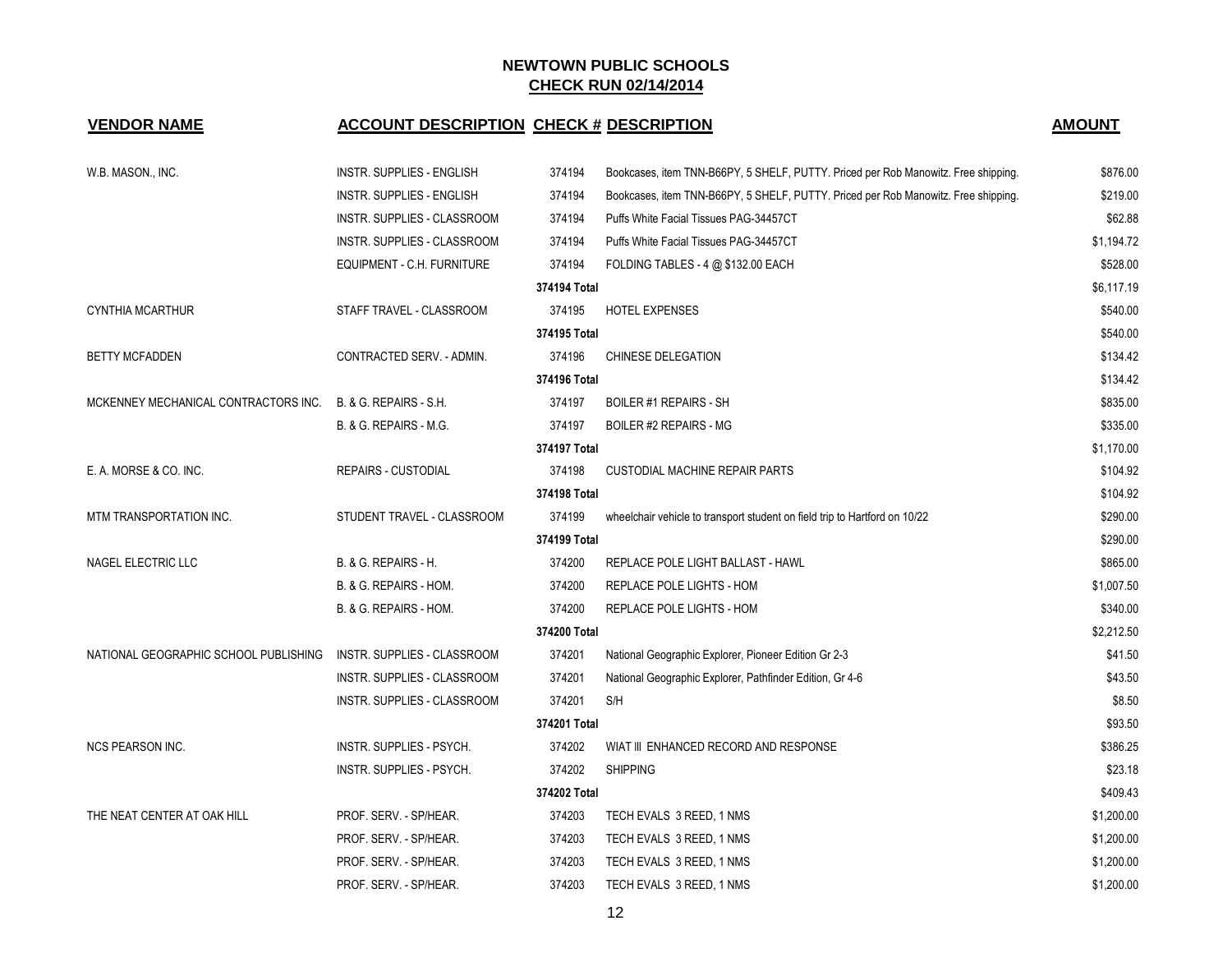### **VENDOR NAME ACCOUNT DESCRIPTION CHECK # DESCRIPTION AMOUNT**

| W.B. MASON., INC.                     | INSTR. SUPPLIES - ENGLISH         | 374194       | Bookcases, item TNN-B66PY, 5 SHELF, PUTTY. Priced per Rob Manowitz. Free shipping. | \$876.00   |
|---------------------------------------|-----------------------------------|--------------|------------------------------------------------------------------------------------|------------|
|                                       | INSTR. SUPPLIES - ENGLISH         | 374194       | Bookcases, item TNN-B66PY, 5 SHELF, PUTTY. Priced per Rob Manowitz. Free shipping. | \$219.00   |
|                                       | INSTR. SUPPLIES - CLASSROOM       | 374194       | Puffs White Facial Tissues PAG-34457CT                                             | \$62.88    |
|                                       | INSTR. SUPPLIES - CLASSROOM       | 374194       | Puffs White Facial Tissues PAG-34457CT                                             | \$1,194.72 |
|                                       | EQUIPMENT - C.H. FURNITURE        | 374194       | FOLDING TABLES - 4 @ \$132.00 EACH                                                 | \$528.00   |
|                                       |                                   | 374194 Total |                                                                                    | \$6,117.19 |
| <b>CYNTHIA MCARTHUR</b>               | STAFF TRAVEL - CLASSROOM          | 374195       | <b>HOTEL EXPENSES</b>                                                              | \$540.00   |
|                                       |                                   | 374195 Total |                                                                                    | \$540.00   |
| <b>BETTY MCFADDEN</b>                 | CONTRACTED SERV. - ADMIN.         | 374196       | CHINESE DELEGATION                                                                 | \$134.42   |
|                                       |                                   | 374196 Total |                                                                                    | \$134.42   |
| MCKENNEY MECHANICAL CONTRACTORS INC.  | <b>B. &amp; G. REPAIRS - S.H.</b> | 374197       | <b>BOILER #1 REPAIRS - SH</b>                                                      | \$835.00   |
|                                       | B. & G. REPAIRS - M.G.            | 374197       | <b>BOILER #2 REPAIRS - MG</b>                                                      | \$335.00   |
|                                       |                                   | 374197 Total |                                                                                    | \$1,170.00 |
| E. A. MORSE & CO. INC.                | <b>REPAIRS - CUSTODIAL</b>        | 374198       | CUSTODIAL MACHINE REPAIR PARTS                                                     | \$104.92   |
|                                       |                                   | 374198 Total |                                                                                    | \$104.92   |
| MTM TRANSPORTATION INC.               | STUDENT TRAVEL - CLASSROOM        | 374199       | wheelchair vehicle to transport student on field trip to Hartford on 10/22         | \$290.00   |
|                                       |                                   | 374199 Total |                                                                                    | \$290.00   |
| NAGEL ELECTRIC LLC                    | B. & G. REPAIRS - H.              | 374200       | REPLACE POLE LIGHT BALLAST - HAWL                                                  | \$865.00   |
|                                       | B. & G. REPAIRS - HOM.            | 374200       | REPLACE POLE LIGHTS - HOM                                                          | \$1,007.50 |
|                                       | B. & G. REPAIRS - HOM.            | 374200       | REPLACE POLE LIGHTS - HOM                                                          | \$340.00   |
|                                       |                                   | 374200 Total |                                                                                    | \$2,212.50 |
| NATIONAL GEOGRAPHIC SCHOOL PUBLISHING | INSTR. SUPPLIES - CLASSROOM       | 374201       | National Geographic Explorer, Pioneer Edition Gr 2-3                               | \$41.50    |
|                                       | INSTR. SUPPLIES - CLASSROOM       | 374201       | National Geographic Explorer, Pathfinder Edition, Gr 4-6                           | \$43.50    |
|                                       | INSTR. SUPPLIES - CLASSROOM       | 374201       | S/H                                                                                | \$8.50     |
|                                       |                                   | 374201 Total |                                                                                    | \$93.50    |
| <b>NCS PEARSON INC.</b>               | INSTR. SUPPLIES - PSYCH.          | 374202       | WIAT III ENHANCED RECORD AND RESPONSE                                              | \$386.25   |
|                                       | INSTR. SUPPLIES - PSYCH.          | 374202       | <b>SHIPPING</b>                                                                    | \$23.18    |
|                                       |                                   | 374202 Total |                                                                                    | \$409.43   |
| THE NEAT CENTER AT OAK HILL           | PROF. SERV. - SP/HEAR.            | 374203       | TECH EVALS 3 REED, 1 NMS                                                           | \$1,200.00 |
|                                       | PROF. SERV. - SP/HEAR.            | 374203       | TECH EVALS 3 REED, 1 NMS                                                           | \$1,200.00 |
|                                       | PROF. SERV. - SP/HEAR.            | 374203       | TECH EVALS 3 REED, 1 NMS                                                           | \$1,200.00 |
|                                       | PROF. SERV. - SP/HEAR.            | 374203       | TECH EVALS 3 REED, 1 NMS                                                           | \$1,200.00 |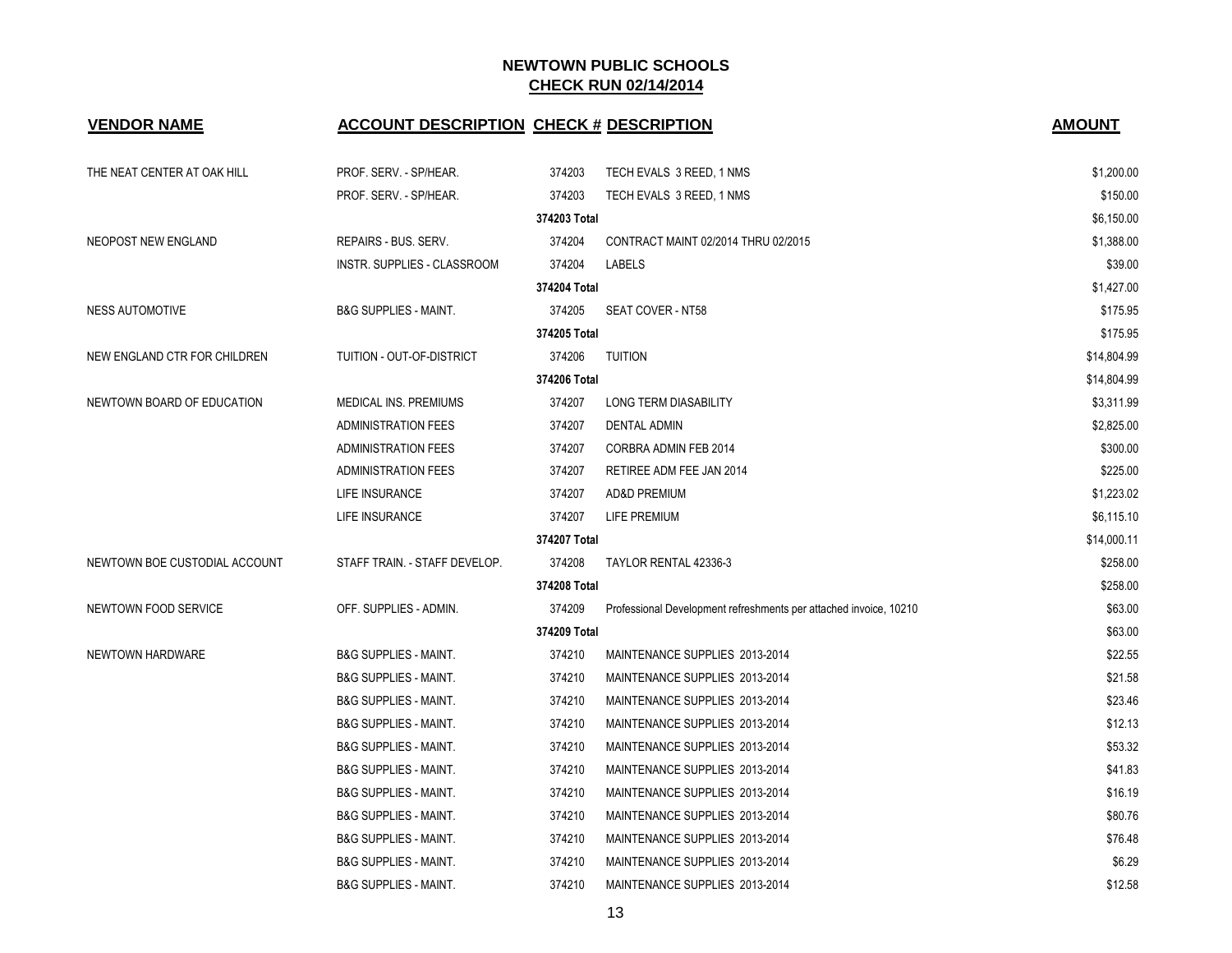| <b>VENDOR NAME</b>            | <b>ACCOUNT DESCRIPTION CHECK # DESCRIPTION</b> |              |                                                                   | <b>AMOUNT</b> |
|-------------------------------|------------------------------------------------|--------------|-------------------------------------------------------------------|---------------|
| THE NEAT CENTER AT OAK HILL   | PROF. SERV. - SP/HEAR.                         | 374203       | TECH EVALS 3 REED, 1 NMS                                          | \$1,200.00    |
|                               | PROF. SERV. - SP/HEAR.                         | 374203       | TECH EVALS 3 REED, 1 NMS                                          | \$150.00      |
|                               |                                                | 374203 Total |                                                                   | \$6,150.00    |
| NEOPOST NEW ENGLAND           | REPAIRS - BUS. SERV.                           | 374204       | CONTRACT MAINT 02/2014 THRU 02/2015                               | \$1,388.00    |
|                               | INSTR. SUPPLIES - CLASSROOM                    | 374204       | LABELS                                                            | \$39.00       |
|                               |                                                | 374204 Total |                                                                   | \$1,427.00    |
| <b>NESS AUTOMOTIVE</b>        | <b>B&amp;G SUPPLIES - MAINT.</b>               | 374205       | SEAT COVER - NT58                                                 | \$175.95      |
|                               |                                                | 374205 Total |                                                                   | \$175.95      |
| NEW ENGLAND CTR FOR CHILDREN  | TUITION - OUT-OF-DISTRICT                      | 374206       | <b>TUITION</b>                                                    | \$14,804.99   |
|                               |                                                | 374206 Total |                                                                   | \$14,804.99   |
| NEWTOWN BOARD OF EDUCATION    | MEDICAL INS. PREMIUMS                          | 374207       | LONG TERM DIASABILITY                                             | \$3,311.99    |
|                               | <b>ADMINISTRATION FEES</b>                     | 374207       | DENTAL ADMIN                                                      | \$2,825.00    |
|                               | ADMINISTRATION FEES                            | 374207       | CORBRA ADMIN FEB 2014                                             | \$300.00      |
|                               | ADMINISTRATION FEES                            | 374207       | RETIREE ADM FEE JAN 2014                                          | \$225.00      |
|                               | <b>LIFE INSURANCE</b>                          | 374207       | <b>AD&amp;D PREMIUM</b>                                           | \$1,223.02    |
|                               | LIFE INSURANCE                                 | 374207       | LIFE PREMIUM                                                      | \$6,115.10    |
|                               |                                                | 374207 Total |                                                                   | \$14,000.11   |
| NEWTOWN BOE CUSTODIAL ACCOUNT | STAFF TRAIN. - STAFF DEVELOP.                  | 374208       | TAYLOR RENTAL 42336-3                                             | \$258.00      |
|                               |                                                | 374208 Total |                                                                   | \$258.00      |
| NEWTOWN FOOD SERVICE          | OFF. SUPPLIES - ADMIN.                         | 374209       | Professional Development refreshments per attached invoice, 10210 | \$63.00       |
|                               |                                                | 374209 Total |                                                                   | \$63.00       |
| NEWTOWN HARDWARE              | <b>B&amp;G SUPPLIES - MAINT.</b>               | 374210       | MAINTENANCE SUPPLIES 2013-2014                                    | \$22.55       |
|                               | <b>B&amp;G SUPPLIES - MAINT.</b>               | 374210       | MAINTENANCE SUPPLIES 2013-2014                                    | \$21.58       |
|                               | <b>B&amp;G SUPPLIES - MAINT.</b>               | 374210       | MAINTENANCE SUPPLIES 2013-2014                                    | \$23.46       |
|                               | <b>B&amp;G SUPPLIES - MAINT.</b>               | 374210       | MAINTENANCE SUPPLIES 2013-2014                                    | \$12.13       |
|                               | <b>B&amp;G SUPPLIES - MAINT.</b>               | 374210       | MAINTENANCE SUPPLIES 2013-2014                                    | \$53.32       |
|                               | <b>B&amp;G SUPPLIES - MAINT.</b>               | 374210       | MAINTENANCE SUPPLIES 2013-2014                                    | \$41.83       |
|                               | <b>B&amp;G SUPPLIES - MAINT.</b>               | 374210       | MAINTENANCE SUPPLIES 2013-2014                                    | \$16.19       |
|                               | <b>B&amp;G SUPPLIES - MAINT.</b>               | 374210       | MAINTENANCE SUPPLIES 2013-2014                                    | \$80.76       |
|                               | <b>B&amp;G SUPPLIES - MAINT.</b>               | 374210       | MAINTENANCE SUPPLIES 2013-2014                                    | \$76.48       |
|                               | <b>B&amp;G SUPPLIES - MAINT.</b>               | 374210       | MAINTENANCE SUPPLIES 2013-2014                                    | \$6.29        |
|                               | <b>B&amp;G SUPPLIES - MAINT.</b>               | 374210       | MAINTENANCE SUPPLIES 2013-2014                                    | \$12.58       |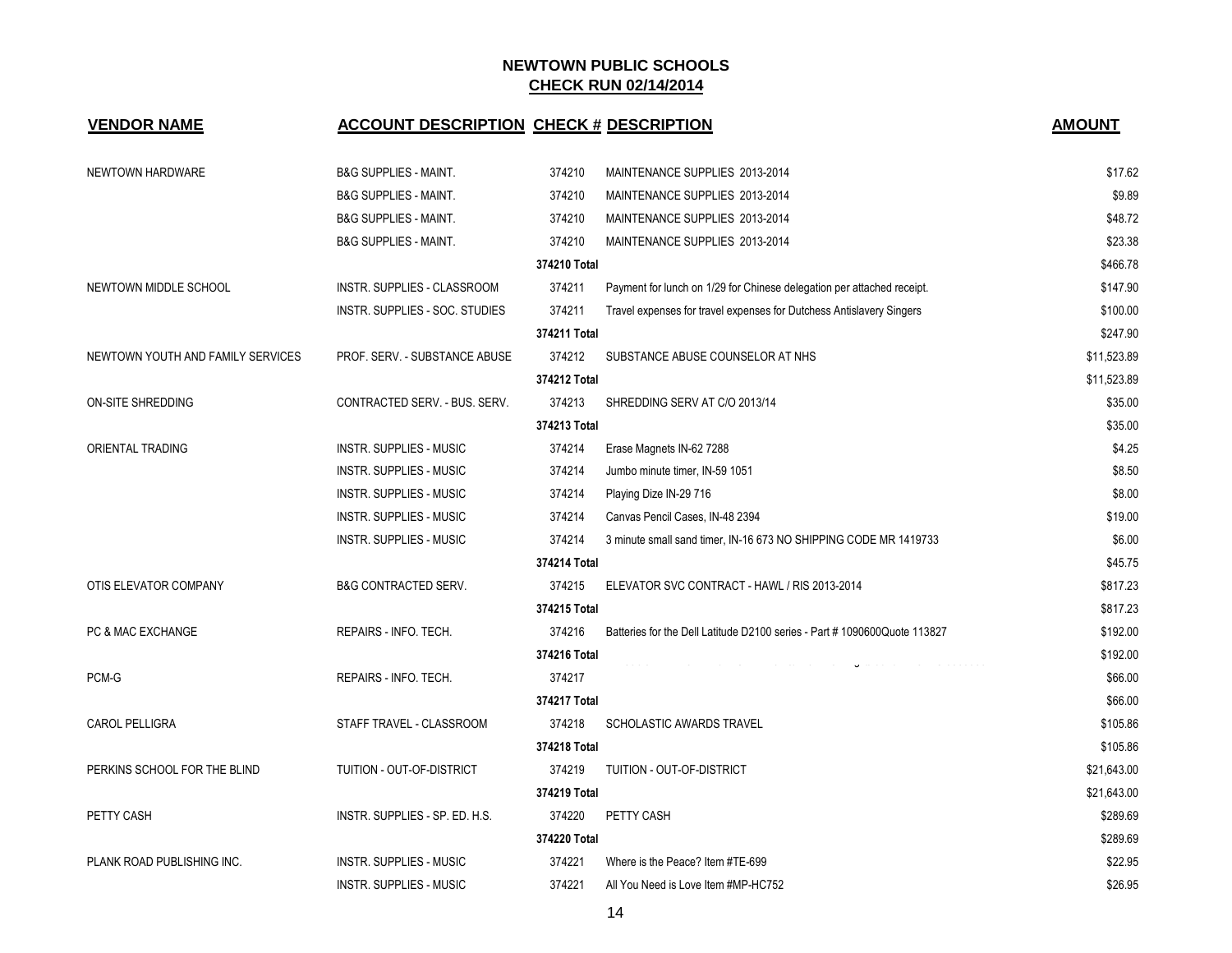| <b>VENDOR NAME</b>                | <b>ACCOUNT DESCRIPTION CHECK # DESCRIPTION</b> |              |                                                                                  | <b>AMOUNT</b> |
|-----------------------------------|------------------------------------------------|--------------|----------------------------------------------------------------------------------|---------------|
| NEWTOWN HARDWARE                  | <b>B&amp;G SUPPLIES - MAINT.</b>               | 374210       | MAINTENANCE SUPPLIES 2013-2014                                                   | \$17.62       |
|                                   | <b>B&amp;G SUPPLIES - MAINT.</b>               | 374210       | MAINTENANCE SUPPLIES 2013-2014                                                   | \$9.89        |
|                                   | <b>B&amp;G SUPPLIES - MAINT.</b>               | 374210       | MAINTENANCE SUPPLIES 2013-2014                                                   | \$48.72       |
|                                   | <b>B&amp;G SUPPLIES - MAINT.</b>               | 374210       | MAINTENANCE SUPPLIES 2013-2014                                                   | \$23.38       |
|                                   |                                                | 374210 Total |                                                                                  | \$466.78      |
| NEWTOWN MIDDLE SCHOOL             | INSTR. SUPPLIES - CLASSROOM                    | 374211       | Payment for lunch on 1/29 for Chinese delegation per attached receipt.           | \$147.90      |
|                                   | INSTR. SUPPLIES - SOC. STUDIES                 | 374211       | Travel expenses for travel expenses for Dutchess Antislavery Singers             | \$100.00      |
|                                   |                                                | 374211 Total |                                                                                  | \$247.90      |
| NEWTOWN YOUTH AND FAMILY SERVICES | PROF. SERV. - SUBSTANCE ABUSE                  | 374212       | SUBSTANCE ABUSE COUNSELOR AT NHS                                                 | \$11,523.89   |
|                                   |                                                | 374212 Total |                                                                                  | \$11,523.89   |
| ON-SITE SHREDDING                 | CONTRACTED SERV. - BUS. SERV.                  | 374213       | SHREDDING SERV AT C/O 2013/14                                                    | \$35.00       |
|                                   |                                                | 374213 Total |                                                                                  | \$35.00       |
| ORIENTAL TRADING                  | INSTR. SUPPLIES - MUSIC                        | 374214       | Erase Magnets IN-62 7288                                                         | \$4.25        |
|                                   | INSTR. SUPPLIES - MUSIC                        | 374214       | Jumbo minute timer, IN-59 1051                                                   | \$8.50        |
|                                   | INSTR. SUPPLIES - MUSIC                        | 374214       | Playing Dize IN-29 716                                                           | \$8.00        |
|                                   | <b>INSTR. SUPPLIES - MUSIC</b>                 | 374214       | Canvas Pencil Cases, IN-48 2394                                                  | \$19.00       |
|                                   | INSTR. SUPPLIES - MUSIC                        | 374214       | 3 minute small sand timer, IN-16 673 NO SHIPPING CODE MR 1419733                 | \$6.00        |
|                                   |                                                | 374214 Total |                                                                                  | \$45.75       |
| OTIS ELEVATOR COMPANY             | <b>B&amp;G CONTRACTED SERV.</b>                | 374215       | ELEVATOR SVC CONTRACT - HAWL / RIS 2013-2014                                     | \$817.23      |
|                                   |                                                | 374215 Total |                                                                                  | \$817.23      |
| PC & MAC EXCHANGE                 | REPAIRS - INFO. TECH.                          | 374216       | Batteries for the Dell Latitude D2100 series - Part #1090600Quote 113827         | \$192.00      |
|                                   |                                                | 374216 Total | page and page of the page of the contract of the complete section of the section | \$192.00      |
| PCM-G                             | REPAIRS - INFO. TECH.                          | 374217       |                                                                                  | \$66.00       |
|                                   |                                                | 374217 Total |                                                                                  | \$66.00       |
| <b>CAROL PELLIGRA</b>             | STAFF TRAVEL - CLASSROOM                       | 374218       | <b>SCHOLASTIC AWARDS TRAVEL</b>                                                  | \$105.86      |
|                                   |                                                | 374218 Total |                                                                                  | \$105.86      |
| PERKINS SCHOOL FOR THE BLIND      | TUITION - OUT-OF-DISTRICT                      | 374219       | TUITION - OUT-OF-DISTRICT                                                        | \$21,643.00   |
|                                   |                                                | 374219 Total |                                                                                  | \$21,643.00   |
| PETTY CASH                        | INSTR. SUPPLIES - SP. ED. H.S.                 | 374220       | PETTY CASH                                                                       | \$289.69      |
|                                   |                                                | 374220 Total |                                                                                  | \$289.69      |
| PLANK ROAD PUBLISHING INC.        | <b>INSTR. SUPPLIES - MUSIC</b>                 | 374221       | Where is the Peace? Item #TE-699                                                 | \$22.95       |
|                                   | INSTR. SUPPLIES - MUSIC                        | 374221       | All You Need is Love Item #MP-HC752                                              | \$26.95       |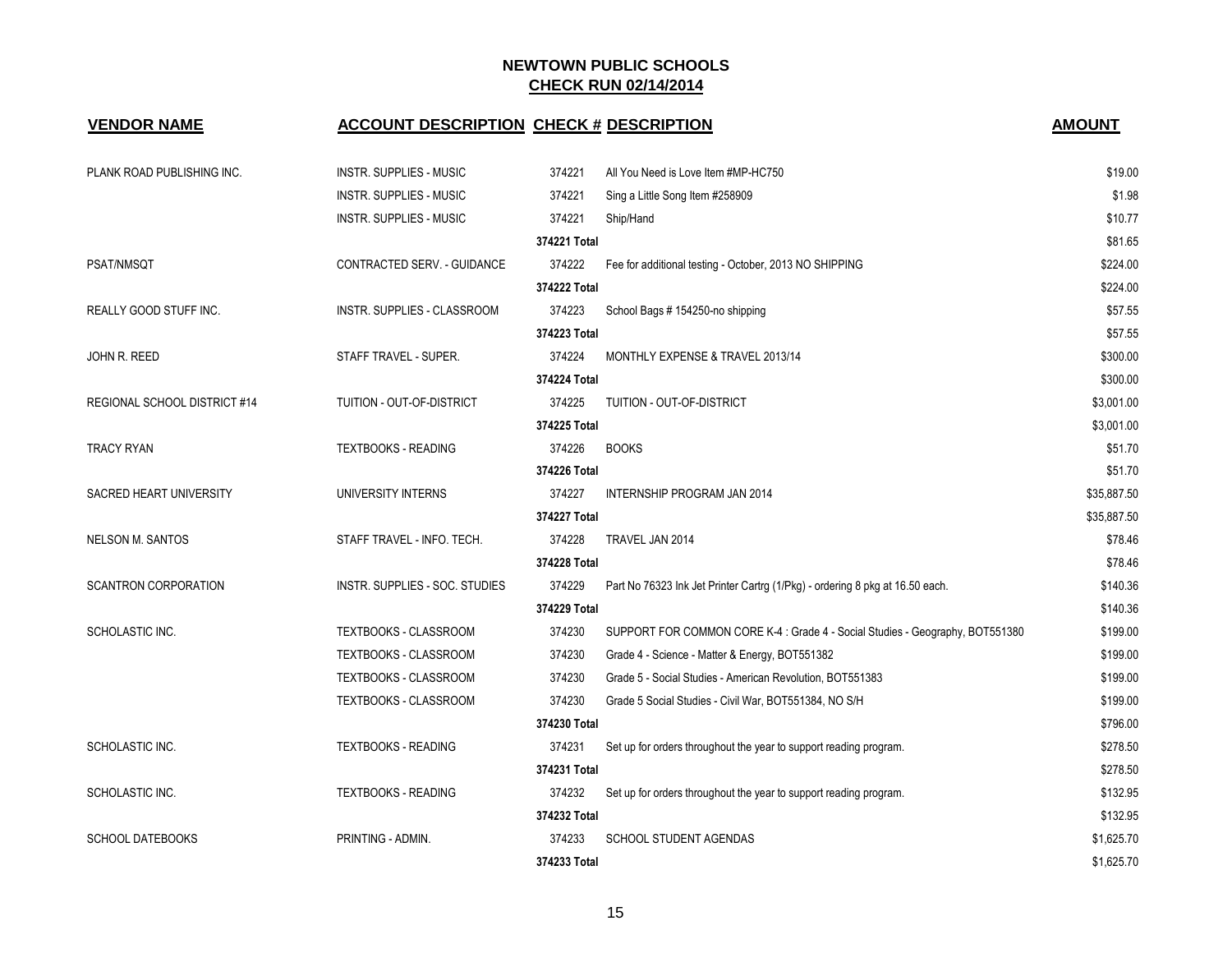| <b>VENDOR NAME</b>            | <b>ACCOUNT DESCRIPTION CHECK # DESCRIPTION</b> |              |                                                                               | <b>AMOUNT</b> |
|-------------------------------|------------------------------------------------|--------------|-------------------------------------------------------------------------------|---------------|
| PLANK ROAD PUBLISHING INC.    | INSTR. SUPPLIES - MUSIC                        | 374221       | All You Need is Love Item #MP-HC750                                           | \$19.00       |
|                               | INSTR. SUPPLIES - MUSIC                        | 374221       | Sing a Little Song Item #258909                                               | \$1.98        |
|                               | INSTR. SUPPLIES - MUSIC                        | 374221       | Ship/Hand                                                                     | \$10.77       |
|                               |                                                | 374221 Total |                                                                               | \$81.65       |
| PSAT/NMSQT                    | CONTRACTED SERV. - GUIDANCE                    | 374222       | Fee for additional testing - October, 2013 NO SHIPPING                        | \$224.00      |
|                               |                                                | 374222 Total |                                                                               | \$224.00      |
| <b>REALLY GOOD STUFF INC.</b> | <b>INSTR. SUPPLIES - CLASSROOM</b>             | 374223       | School Bags # 154250-no shipping                                              | \$57.55       |
|                               |                                                | 374223 Total |                                                                               | \$57.55       |
| JOHN R. REED                  | STAFF TRAVEL - SUPER.                          | 374224       | MONTHLY EXPENSE & TRAVEL 2013/14                                              | \$300.00      |
|                               |                                                | 374224 Total |                                                                               | \$300.00      |
| REGIONAL SCHOOL DISTRICT #14  | TUITION - OUT-OF-DISTRICT                      | 374225       | TUITION - OUT-OF-DISTRICT                                                     | \$3,001.00    |
|                               |                                                | 374225 Total |                                                                               | \$3,001.00    |
| <b>TRACY RYAN</b>             | <b>TEXTBOOKS - READING</b>                     | 374226       | <b>BOOKS</b>                                                                  | \$51.70       |
|                               |                                                | 374226 Total |                                                                               | \$51.70       |
| SACRED HEART UNIVERSITY       | UNIVERSITY INTERNS                             | 374227       | <b>INTERNSHIP PROGRAM JAN 2014</b>                                            | \$35,887.50   |
|                               |                                                | 374227 Total |                                                                               | \$35,887.50   |
| <b>NELSON M. SANTOS</b>       | STAFF TRAVEL - INFO. TECH.                     | 374228       | TRAVEL JAN 2014                                                               | \$78.46       |
|                               |                                                | 374228 Total |                                                                               | \$78.46       |
| <b>SCANTRON CORPORATION</b>   | INSTR. SUPPLIES - SOC. STUDIES                 | 374229       | Part No 76323 Ink Jet Printer Cartrg (1/Pkg) - ordering 8 pkg at 16.50 each.  | \$140.36      |
|                               |                                                | 374229 Total |                                                                               | \$140.36      |
| SCHOLASTIC INC.               | <b>TEXTBOOKS - CLASSROOM</b>                   | 374230       | SUPPORT FOR COMMON CORE K-4 : Grade 4 - Social Studies - Geography, BOT551380 | \$199.00      |
|                               | TEXTBOOKS - CLASSROOM                          | 374230       | Grade 4 - Science - Matter & Energy, BOT551382                                | \$199.00      |
|                               | TEXTBOOKS - CLASSROOM                          | 374230       | Grade 5 - Social Studies - American Revolution, BOT551383                     | \$199.00      |
|                               | TEXTBOOKS - CLASSROOM                          | 374230       | Grade 5 Social Studies - Civil War, BOT551384, NO S/H                         | \$199.00      |
|                               |                                                | 374230 Total |                                                                               | \$796.00      |
| SCHOLASTIC INC.               | <b>TEXTBOOKS - READING</b>                     | 374231       | Set up for orders throughout the year to support reading program.             | \$278.50      |
|                               |                                                | 374231 Total |                                                                               | \$278.50      |
| SCHOLASTIC INC.               | <b>TEXTBOOKS - READING</b>                     | 374232       | Set up for orders throughout the year to support reading program.             | \$132.95      |
|                               |                                                | 374232 Total |                                                                               | \$132.95      |
| <b>SCHOOL DATEBOOKS</b>       | PRINTING - ADMIN.                              | 374233       | SCHOOL STUDENT AGENDAS                                                        | \$1,625.70    |
|                               |                                                | 374233 Total |                                                                               | \$1,625.70    |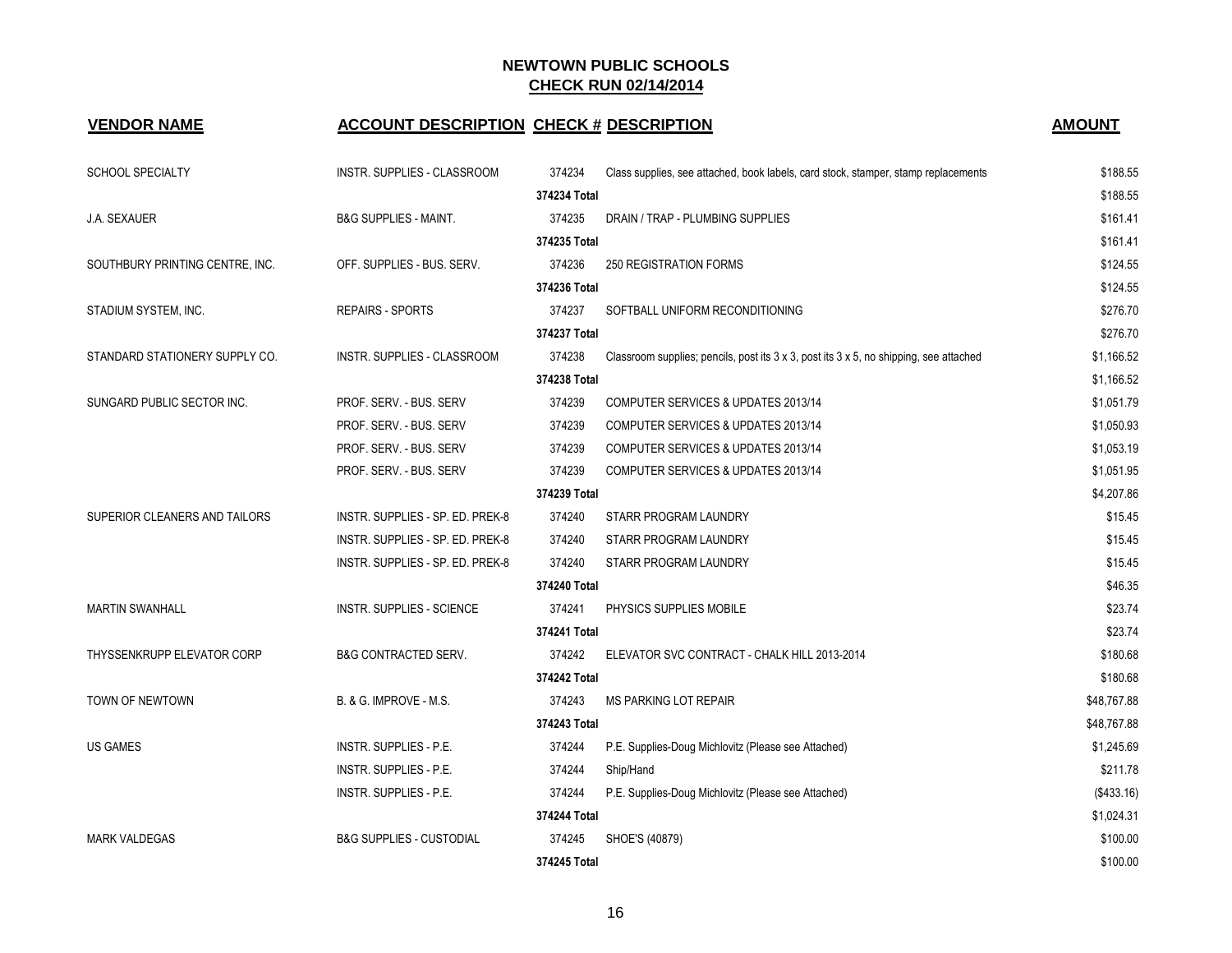# **VENDOR NAME ACCOUNT DESCRIPTION CHECK # DESCRIPTION AMOUNT**

| <b>AMOUNT</b> |
|---------------|
|---------------|

| <b>SCHOOL SPECIALTY</b>         | INSTR. SUPPLIES - CLASSROOM         | 374234       | Class supplies, see attached, book labels, card stock, stamper, stamp replacements     | \$188.55    |
|---------------------------------|-------------------------------------|--------------|----------------------------------------------------------------------------------------|-------------|
|                                 |                                     | 374234 Total |                                                                                        | \$188.55    |
| <b>J.A. SEXAUER</b>             | <b>B&amp;G SUPPLIES - MAINT.</b>    | 374235       | DRAIN / TRAP - PLUMBING SUPPLIES                                                       | \$161.41    |
|                                 |                                     | 374235 Total |                                                                                        | \$161.41    |
| SOUTHBURY PRINTING CENTRE, INC. | OFF. SUPPLIES - BUS. SERV.          | 374236       | <b>250 REGISTRATION FORMS</b>                                                          | \$124.55    |
|                                 |                                     | 374236 Total |                                                                                        | \$124.55    |
| STADIUM SYSTEM, INC.            | <b>REPAIRS - SPORTS</b>             | 374237       | SOFTBALL UNIFORM RECONDITIONING                                                        | \$276.70    |
|                                 |                                     | 374237 Total |                                                                                        | \$276.70    |
| STANDARD STATIONERY SUPPLY CO.  | INSTR. SUPPLIES - CLASSROOM         | 374238       | Classroom supplies; pencils, post its 3 x 3, post its 3 x 5, no shipping, see attached | \$1,166.52  |
|                                 |                                     | 374238 Total |                                                                                        | \$1,166.52  |
| SUNGARD PUBLIC SECTOR INC.      | PROF. SERV. - BUS. SERV             | 374239       | COMPUTER SERVICES & UPDATES 2013/14                                                    | \$1,051.79  |
|                                 | PROF. SERV. - BUS. SERV             | 374239       | COMPUTER SERVICES & UPDATES 2013/14                                                    | \$1,050.93  |
|                                 | PROF. SERV. - BUS. SERV             | 374239       | <b>COMPUTER SERVICES &amp; UPDATES 2013/14</b>                                         | \$1,053.19  |
|                                 | PROF. SERV. - BUS. SERV             | 374239       | COMPUTER SERVICES & UPDATES 2013/14                                                    | \$1,051.95  |
|                                 |                                     | 374239 Total |                                                                                        | \$4,207.86  |
| SUPERIOR CLEANERS AND TAILORS   | INSTR. SUPPLIES - SP. ED. PREK-8    | 374240       | STARR PROGRAM LAUNDRY                                                                  | \$15.45     |
|                                 | INSTR. SUPPLIES - SP. ED. PREK-8    | 374240       | STARR PROGRAM LAUNDRY                                                                  | \$15.45     |
|                                 | INSTR. SUPPLIES - SP. ED. PREK-8    | 374240       | STARR PROGRAM LAUNDRY                                                                  | \$15.45     |
|                                 |                                     | 374240 Total |                                                                                        | \$46.35     |
| <b>MARTIN SWANHALL</b>          | <b>INSTR. SUPPLIES - SCIENCE</b>    | 374241       | PHYSICS SUPPLIES MOBILE                                                                | \$23.74     |
|                                 |                                     | 374241 Total |                                                                                        | \$23.74     |
| THYSSENKRUPP ELEVATOR CORP      | <b>B&amp;G CONTRACTED SERV.</b>     | 374242       | ELEVATOR SVC CONTRACT - CHALK HILL 2013-2014                                           | \$180.68    |
|                                 |                                     | 374242 Total |                                                                                        | \$180.68    |
| TOWN OF NEWTOWN                 | B. & G. IMPROVE - M.S.              | 374243       | MS PARKING LOT REPAIR                                                                  | \$48,767.88 |
|                                 |                                     | 374243 Total | \$48,767.88                                                                            |             |
| <b>US GAMES</b>                 | INSTR. SUPPLIES - P.E.              | 374244       | P.E. Supplies-Doug Michlovitz (Please see Attached)                                    | \$1,245.69  |
|                                 | INSTR. SUPPLIES - P.E.              | 374244       | Ship/Hand                                                                              | \$211.78    |
|                                 | INSTR. SUPPLIES - P.E.              | 374244       | P.E. Supplies-Doug Michlovitz (Please see Attached)                                    | (\$433.16)  |
|                                 |                                     | 374244 Total |                                                                                        | \$1,024.31  |
| <b>MARK VALDEGAS</b>            | <b>B&amp;G SUPPLIES - CUSTODIAL</b> | 374245       | SHOE'S (40879)                                                                         | \$100.00    |
|                                 |                                     | 374245 Total |                                                                                        | \$100.00    |